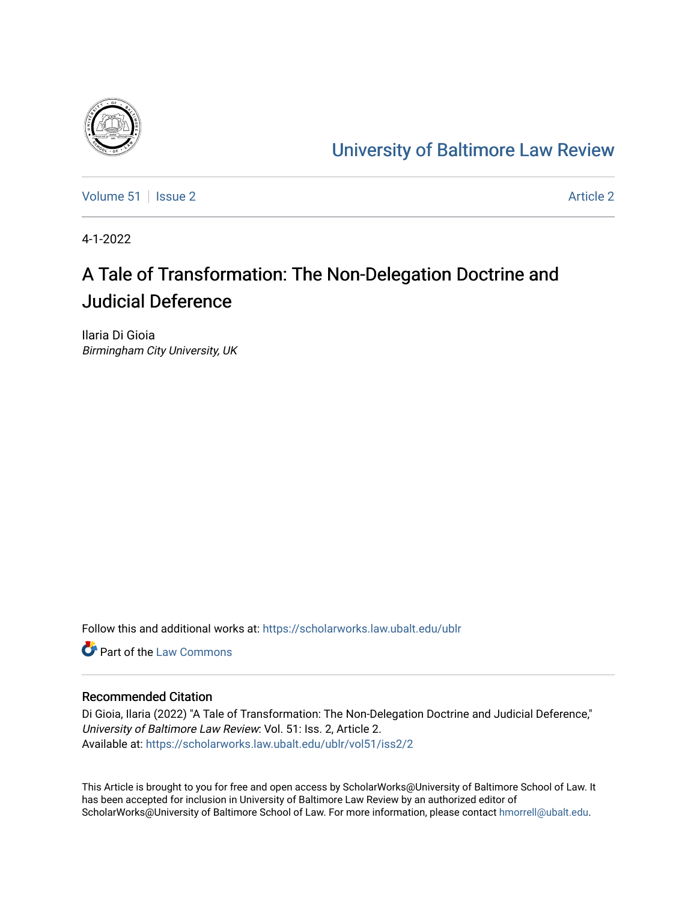

# [University of Baltimore Law Review](https://scholarworks.law.ubalt.edu/ublr)

[Volume 51](https://scholarworks.law.ubalt.edu/ublr/vol51) | [Issue 2](https://scholarworks.law.ubalt.edu/ublr/vol51/iss2) [Article 2](https://scholarworks.law.ubalt.edu/ublr/vol51/iss2/2) Article 2 Article 2 Article 2 Article 2 Article 2 Article 2 Article 2 Article 2

4-1-2022

# A Tale of Transformation: The Non-Delegation Doctrine and Judicial Deference

Ilaria Di Gioia Birmingham City University, UK

Follow this and additional works at: [https://scholarworks.law.ubalt.edu/ublr](https://scholarworks.law.ubalt.edu/ublr?utm_source=scholarworks.law.ubalt.edu%2Fublr%2Fvol51%2Fiss2%2F2&utm_medium=PDF&utm_campaign=PDFCoverPages)

**C** Part of the [Law Commons](https://network.bepress.com/hgg/discipline/578?utm_source=scholarworks.law.ubalt.edu%2Fublr%2Fvol51%2Fiss2%2F2&utm_medium=PDF&utm_campaign=PDFCoverPages)

# Recommended Citation

Di Gioia, Ilaria (2022) "A Tale of Transformation: The Non-Delegation Doctrine and Judicial Deference," University of Baltimore Law Review: Vol. 51: Iss. 2, Article 2. Available at: [https://scholarworks.law.ubalt.edu/ublr/vol51/iss2/2](https://scholarworks.law.ubalt.edu/ublr/vol51/iss2/2?utm_source=scholarworks.law.ubalt.edu%2Fublr%2Fvol51%2Fiss2%2F2&utm_medium=PDF&utm_campaign=PDFCoverPages)

This Article is brought to you for free and open access by ScholarWorks@University of Baltimore School of Law. It has been accepted for inclusion in University of Baltimore Law Review by an authorized editor of ScholarWorks@University of Baltimore School of Law. For more information, please contact [hmorrell@ubalt.edu](mailto:hmorrell@ubalt.edu).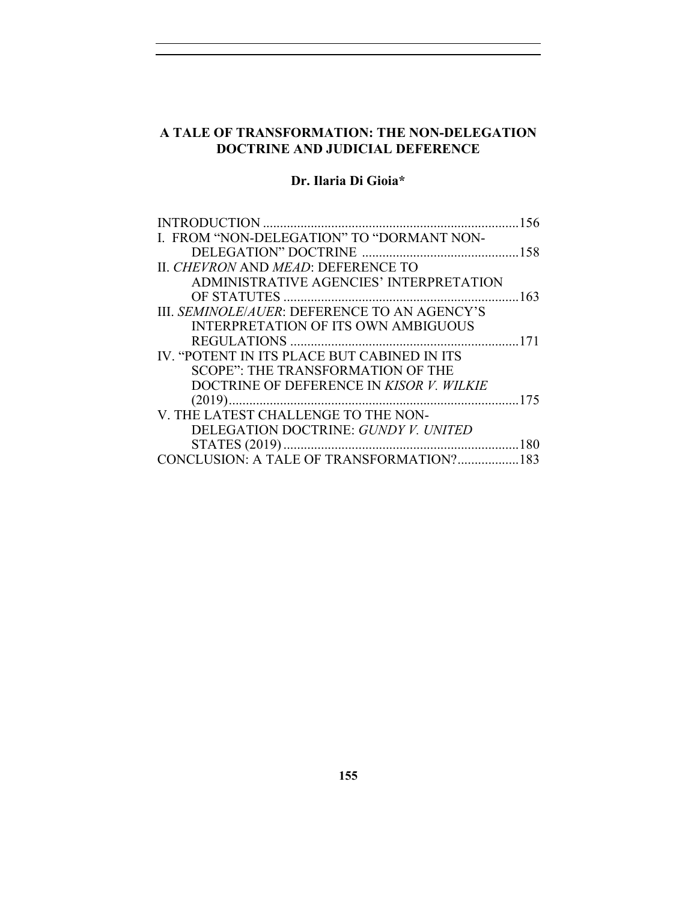# **A TALE OF TRANSFORMATION: THE NON-DELEGATION DOCTRINE AND JUDICIAL DEFERENCE**

# **Dr. Ilaria Di Gioia\***

| I. FROM "NON-DELEGATION" TO "DORMANT NON-    |  |
|----------------------------------------------|--|
|                                              |  |
| II. CHEVRON AND MEAD: DEFERENCE TO           |  |
| ADMINISTRATIVE AGENCIES' INTERPRETATION      |  |
|                                              |  |
| III. SEMINOLE/AUER: DEFERENCE TO AN AGENCY'S |  |
| <b>INTERPRETATION OF ITS OWN AMBIGUOUS</b>   |  |
|                                              |  |
| IV. "POTENT IN ITS PLACE BUT CABINED IN ITS  |  |
| SCOPE": THE TRANSFORMATION OF THE            |  |
| DOCTRINE OF DEFERENCE IN KISOR V. WILKIE     |  |
|                                              |  |
| V. THE LATEST CHALLENGE TO THE NON-          |  |
| DELEGATION DOCTRINE: GUNDY V. UNITED         |  |
|                                              |  |
| CONCLUSION: A TALE OF TRANSFORMATION?183     |  |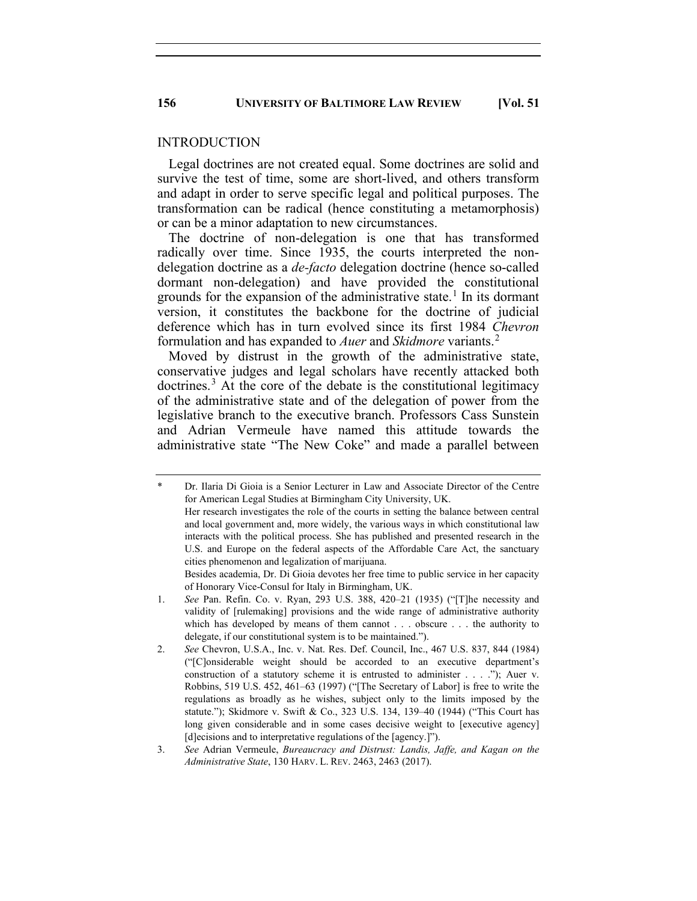#### INTRODUCTION

Legal doctrines are not created equal. Some doctrines are solid and survive the test of time, some are short-lived, and others transform and adapt in order to serve specific legal and political purposes. The transformation can be radical (hence constituting a metamorphosis) or can be a minor adaptation to new circumstances.

The doctrine of non-delegation is one that has transformed radically over time. Since 1935, the courts interpreted the nondelegation doctrine as a *de-facto* delegation doctrine (hence so-called dormant non-delegation) and have provided the constitutional grounds for the expansion of the administrative state. [1](#page-2-0) In its dormant version, it constitutes the backbone for the doctrine of judicial deference which has in turn evolved since its first 1984 *Chevron* formulation and has expanded to *Auer* and *Skidmore* variants.[2](#page-2-1)

Moved by distrust in the growth of the administrative state, conservative judges and legal scholars have recently attacked both doctrines. [3](#page-2-2) At the core of the debate is the constitutional legitimacy of the administrative state and of the delegation of power from the legislative branch to the executive branch. Professors Cass Sunstein and Adrian Vermeule have named this attitude towards the administrative state "The New Coke" and made a parallel between

Besides academia, Dr. Di Gioia devotes her free time to public service in her capacity of Honorary Vice-Consul for Italy in Birmingham, UK.

<span id="page-2-0"></span>Dr. Ilaria Di Gioia is a Senior Lecturer in Law and Associate Director of the Centre for American Legal Studies at Birmingham City University, UK.

Her research investigates the role of the courts in setting the balance between central and local government and, more widely, the various ways in which constitutional law interacts with the political process. She has published and presented research in the U.S. and Europe on the federal aspects of the Affordable Care Act, the sanctuary cities phenomenon and legalization of marijuana.

<sup>1.</sup> *See* Pan. Refin. Co. v. Ryan, 293 U.S. 388, 420–21 (1935) ("[T]he necessity and validity of [rulemaking] provisions and the wide range of administrative authority which has developed by means of them cannot . . . obscure . . . the authority to delegate, if our constitutional system is to be maintained.").

<span id="page-2-1"></span><sup>2.</sup> *See* Chevron, U.S.A., Inc. v. Nat. Res. Def. Council, Inc., 467 U.S. 837, 844 (1984) ("[C]onsiderable weight should be accorded to an executive department's construction of a statutory scheme it is entrusted to administer . . . ."); Auer v. Robbins, 519 U.S. 452, 461–63 (1997) ("[The Secretary of Labor] is free to write the regulations as broadly as he wishes, subject only to the limits imposed by the statute."); Skidmore v. Swift & Co., 323 U.S. 134, 139–40 (1944) ("This Court has long given considerable and in some cases decisive weight to [executive agency] [d]ecisions and to interpretative regulations of the [agency.]").

<span id="page-2-2"></span><sup>3.</sup> *See* Adrian Vermeule, *Bureaucracy and Distrust: Landis, Jaffe, and Kagan on the Administrative State*, 130 HARV. L. REV. 2463, 2463 (2017).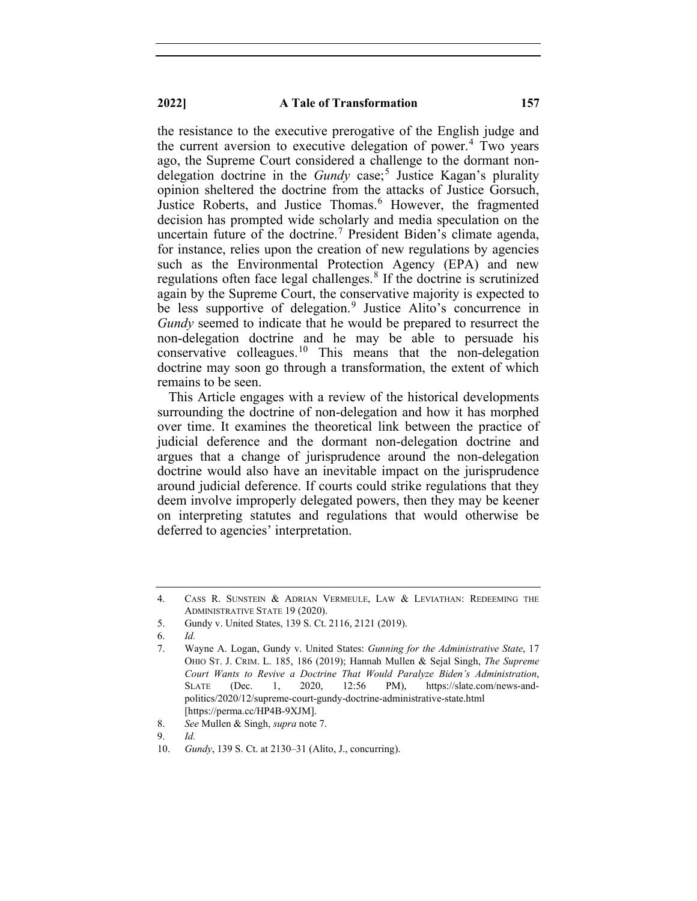#### **2022] A Tale of Transformation 157**

the resistance to the executive prerogative of the English judge and the current aversion to executive delegation of power.<sup>[4](#page-3-0)</sup> Two years ago, the Supreme Court considered a challenge to the dormant nondelegation doctrine in the *Gundy* case; [5](#page-3-1) Justice Kagan's plurality opinion sheltered the doctrine from the attacks of Justice Gorsuch, Justice Roberts, and Justice Thomas.<sup>[6](#page-3-2)</sup> However, the fragmented decision has prompted wide scholarly and media speculation on the uncertain future of the doctrine. [7](#page-3-3) President Biden's climate agenda, for instance, relies upon the creation of new regulations by agencies such as the Environmental Protection Agency (EPA) and new regulations often face legal challenges.<sup>[8](#page-3-4)</sup> If the doctrine is scrutinized again by the Supreme Court, the conservative majority is expected to be less supportive of delegation.<sup>[9](#page-3-5)</sup> Justice Alito's concurrence in *Gundy* seemed to indicate that he would be prepared to resurrect the non-delegation doctrine and he may be able to persuade his conservative colleagues.<sup>[10](#page-3-6)</sup> This means that the non-delegation doctrine may soon go through a transformation, the extent of which remains to be seen.

This Article engages with a review of the historical developments surrounding the doctrine of non-delegation and how it has morphed over time. It examines the theoretical link between the practice of judicial deference and the dormant non-delegation doctrine and argues that a change of jurisprudence around the non-delegation doctrine would also have an inevitable impact on the jurisprudence around judicial deference. If courts could strike regulations that they deem involve improperly delegated powers, then they may be keener on interpreting statutes and regulations that would otherwise be deferred to agencies' interpretation.

<span id="page-3-0"></span><sup>4.</sup> CASS R. SUNSTEIN & ADRIAN VERMEULE, LAW & LEVIATHAN: REDEEMING THE ADMINISTRATIVE STATE 19 (2020).

<span id="page-3-1"></span><sup>5.</sup> Gundy v. United States, 139 S. Ct. 2116, 2121 (2019).

<span id="page-3-3"></span><span id="page-3-2"></span><sup>6.</sup> *Id.*

<sup>7.</sup> Wayne A. Logan, Gundy v. United States: *Gunning for the Administrative State*, 17 OHIO ST. J. CRIM. L. 185, 186 (2019); Hannah Mullen & Sejal Singh, *The Supreme Court Wants to Revive a Doctrine That Would Paralyze Biden's Administration*, SLATE (Dec. 1, 2020, 12:56 PM), https://slate.com/news-andpolitics/2020/12/supreme-court-gundy-doctrine-administrative-state.html [https://perma.cc/HP4B-9XJM].

<span id="page-3-4"></span><sup>8.</sup> *See* Mullen & Singh, *supra* note 7.

<sup>9.</sup> *Id.*

<span id="page-3-6"></span><span id="page-3-5"></span><sup>10.</sup> *Gundy*, 139 S. Ct. at 2130–31 (Alito, J., concurring).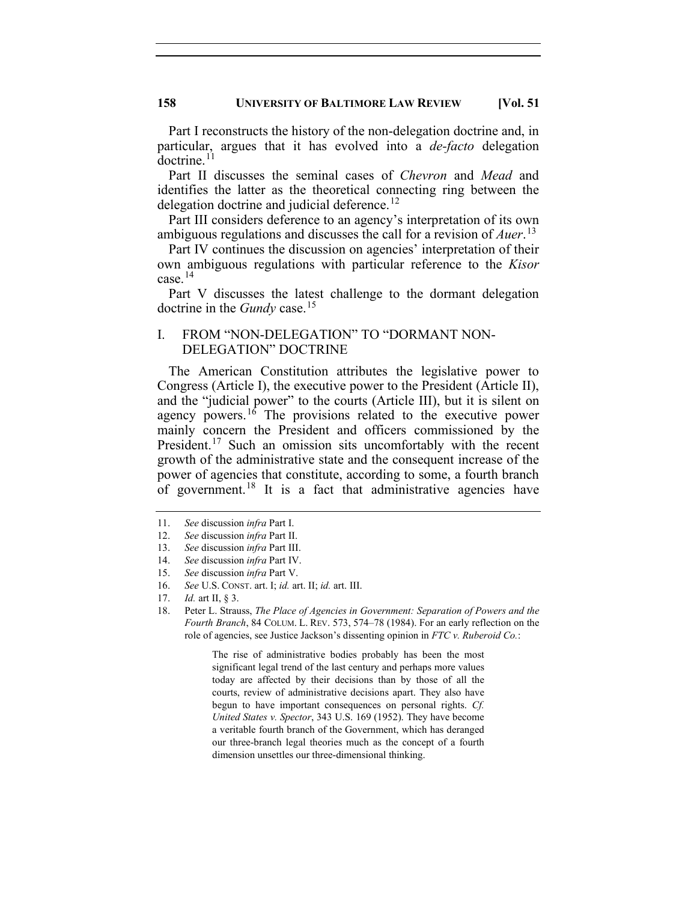Part I reconstructs the history of the non-delegation doctrine and, in particular, argues that it has evolved into a *de-facto* delegation  $d$ octrine.<sup>[11](#page-4-0)</sup>

Part II discusses the seminal cases of *Chevron* and *Mead* and identifies the latter as the theoretical connecting ring between the delegation doctrine and judicial deference.<sup>[12](#page-4-1)</sup>

Part III considers deference to an agency's interpretation of its own ambiguous regulations and discusses the call for a revision of *Auer*. [13](#page-4-2)

Part IV continues the discussion on agencies' interpretation of their own ambiguous regulations with particular reference to the *Kisor* case.[14](#page-4-3)

Part V discusses the latest challenge to the dormant delegation doctrine in the *Gundy* case. [15](#page-4-4)

# I. FROM "NON-DELEGATION" TO "DORMANT NON-DELEGATION" DOCTRINE

The American Constitution attributes the legislative power to Congress (Article I), the executive power to the President (Article II), and the "judicial power" to the courts (Article III), but it is silent on agency powers.<sup>[16](#page-4-5)</sup> The provisions related to the executive power mainly concern the President and officers commissioned by the President.<sup>[17](#page-4-6)</sup> Such an omission sits uncomfortably with the recent growth of the administrative state and the consequent increase of the power of agencies that constitute, according to some, a fourth branch of government.<sup>[18](#page-4-7)</sup> It is a fact that administrative agencies have

The rise of administrative bodies probably has been the most significant legal trend of the last century and perhaps more values today are affected by their decisions than by those of all the courts, review of administrative decisions apart. They also have begun to have important consequences on personal rights. *Cf. United States v. Spector*, 343 U.S. 169 (1952). They have become a veritable fourth branch of the Government, which has deranged our three-branch legal theories much as the concept of a fourth dimension unsettles our three-dimensional thinking.

<span id="page-4-1"></span><span id="page-4-0"></span><sup>11.</sup> *See* discussion *infra* Part I.

<sup>12.</sup> *See* discussion *infra* Part II.

<span id="page-4-2"></span><sup>13.</sup> *See* discussion *infra* Part III.

<span id="page-4-3"></span><sup>14.</sup> *See* discussion *infra* Part IV.

<span id="page-4-4"></span><sup>15.</sup> *See* discussion *infra* Part V.

<span id="page-4-5"></span><sup>16.</sup> *See* U.S. CONST. art. I; *id.* art. II; *id.* art. III.

<span id="page-4-7"></span><span id="page-4-6"></span><sup>17.</sup> *Id.* art II, § 3.

<sup>18.</sup> Peter L. Strauss, *The Place of Agencies in Government: Separation of Powers and the Fourth Branch*, 84 COLUM. L. REV. 573, 574–78 (1984). For an early reflection on the role of agencies, see Justice Jackson's dissenting opinion in *FTC v. Ruberoid Co.*: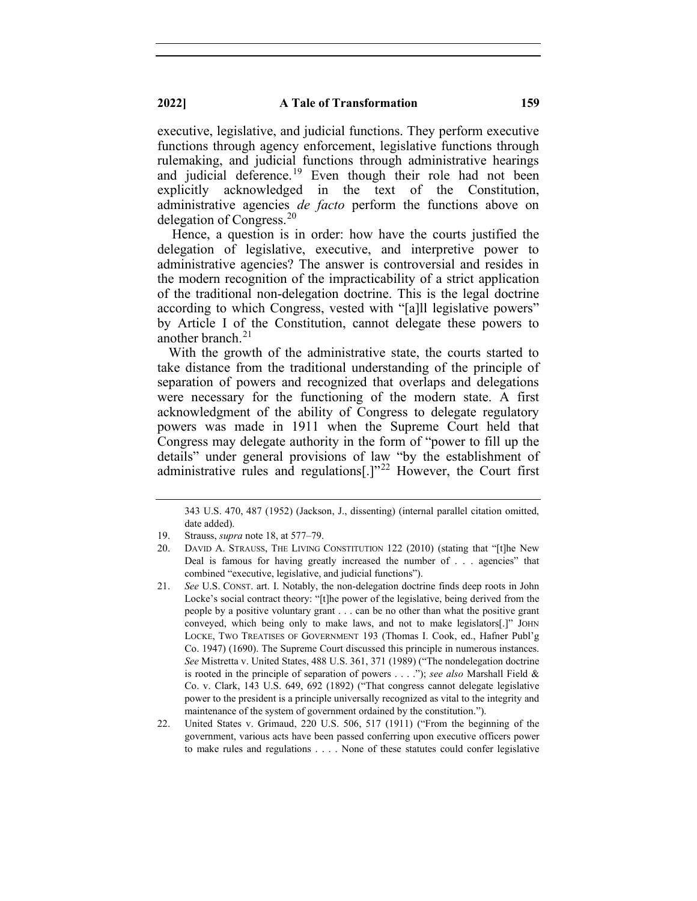executive, legislative, and judicial functions. They perform executive functions through agency enforcement, legislative functions through rulemaking, and judicial functions through administrative hearings and judicial deference.<sup>[19](#page-5-0)</sup> Even though their role had not been explicitly acknowledged in the text of the Constitution, administrative agencies *de facto* perform the functions above on delegation of Congress. [20](#page-5-1)

Hence, a question is in order: how have the courts justified the delegation of legislative, executive, and interpretive power to administrative agencies? The answer is controversial and resides in the modern recognition of the impracticability of a strict application of the traditional non-delegation doctrine. This is the legal doctrine according to which Congress, vested with "[a]ll legislative powers" by Article I of the Constitution, cannot delegate these powers to another branch.<sup>[21](#page-5-2)</sup>

With the growth of the administrative state, the courts started to take distance from the traditional understanding of the principle of separation of powers and recognized that overlaps and delegations were necessary for the functioning of the modern state. A first acknowledgment of the ability of Congress to delegate regulatory powers was made in 1911 when the Supreme Court held that Congress may delegate authority in the form of "power to fill up the details" under general provisions of law "by the establishment of administrative rules and regulations<sup>[1,1,[22](#page-5-3)</sup> However, the Court first

<sup>343</sup> U.S. 470, 487 (1952) (Jackson, J., dissenting) (internal parallel citation omitted, date added).

<sup>19.</sup> Strauss, *supra* note 18, at 577–79.

<span id="page-5-1"></span><span id="page-5-0"></span><sup>20.</sup> DAVID A. STRAUSS, THE LIVING CONSTITUTION 122 (2010) (stating that "[t]he New Deal is famous for having greatly increased the number of . . . agencies" that combined "executive, legislative, and judicial functions").

<span id="page-5-2"></span><sup>21.</sup> *See* U.S. CONST. art. I. Notably, the non-delegation doctrine finds deep roots in John Locke's social contract theory: "[t]he power of the legislative, being derived from the people by a positive voluntary grant . . . can be no other than what the positive grant conveyed, which being only to make laws, and not to make legislators[.]" JOHN LOCKE, TWO TREATISES OF GOVERNMENT 193 (Thomas I. Cook, ed., Hafner Publ'g Co. 1947) (1690). The Supreme Court discussed this principle in numerous instances. *See* Mistretta v. United States, 488 U.S. 361, 371 (1989) ("The nondelegation doctrine is rooted in the principle of separation of powers . . . ."); *see also* Marshall Field & Co. v. Clark, 143 U.S. 649, 692 (1892) ("That congress cannot delegate legislative power to the president is a principle universally recognized as vital to the integrity and maintenance of the system of government ordained by the constitution.").

<span id="page-5-3"></span><sup>22.</sup> United States v. Grimaud, 220 U.S. 506, 517 (1911) ("From the beginning of the government, various acts have been passed conferring upon executive officers power to make rules and regulations . . . . None of these statutes could confer legislative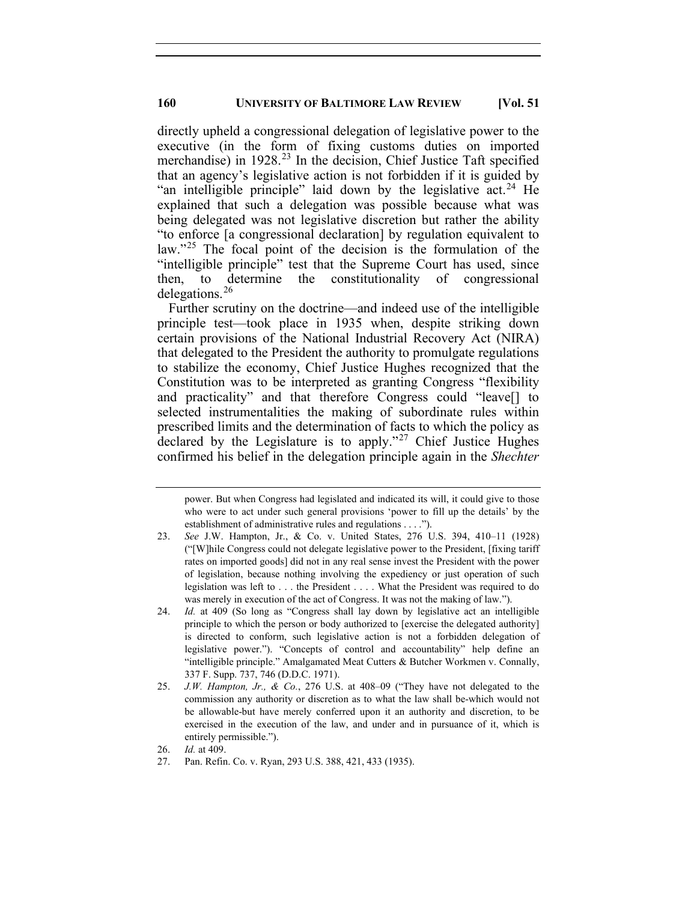directly upheld a congressional delegation of legislative power to the executive (in the form of fixing customs duties on imported merchandise) in 1928. [23](#page-6-0) In the decision, Chief Justice Taft specified that an agency's legislative action is not forbidden if it is guided by "an intelligible principle" laid down by the legislative act.<sup>[24](#page-6-1)</sup> He explained that such a delegation was possible because what was being delegated was not legislative discretion but rather the ability "to enforce [a congressional declaration] by regulation equivalent to law."<sup>[25](#page-6-2)</sup> The focal point of the decision is the formulation of the "intelligible principle" test that the Supreme Court has used, since then, to determine the constitutionality of congressional delegations. [26](#page-6-3)

Further scrutiny on the doctrine—and indeed use of the intelligible principle test—took place in 1935 when, despite striking down certain provisions of the National Industrial Recovery Act (NIRA) that delegated to the President the authority to promulgate regulations to stabilize the economy, Chief Justice Hughes recognized that the Constitution was to be interpreted as granting Congress "flexibility and practicality" and that therefore Congress could "leave[] to selected instrumentalities the making of subordinate rules within prescribed limits and the determination of facts to which the policy as declared by the Legislature is to apply."<sup>[27](#page-6-4)</sup> Chief Justice Hughes confirmed his belief in the delegation principle again in the *Shechter* 

power. But when Congress had legislated and indicated its will, it could give to those who were to act under such general provisions 'power to fill up the details' by the establishment of administrative rules and regulations . . . .").

<span id="page-6-0"></span><sup>23.</sup> *See* J.W. Hampton, Jr., & Co. v. United States, 276 U.S. 394, 410–11 (1928) ("[W]hile Congress could not delegate legislative power to the President, [fixing tariff rates on imported goods] did not in any real sense invest the President with the power of legislation, because nothing involving the expediency or just operation of such legislation was left to . . . the President . . . . What the President was required to do was merely in execution of the act of Congress. It was not the making of law.").

<span id="page-6-1"></span><sup>24.</sup> *Id.* at 409 (So long as "Congress shall lay down by legislative act an intelligible principle to which the person or body authorized to [exercise the delegated authority] is directed to conform, such legislative action is not a forbidden delegation of legislative power."). "Concepts of control and accountability" help define an "intelligible principle." Amalgamated Meat Cutters & Butcher Workmen v. Connally, 337 F. Supp. 737, 746 (D.D.C. 1971).

<span id="page-6-2"></span><sup>25.</sup> *J.W. Hampton, Jr., & Co.*, 276 U.S. at 408–09 ("They have not delegated to the commission any authority or discretion as to what the law shall be-which would not be allowable-but have merely conferred upon it an authority and discretion, to be exercised in the execution of the law, and under and in pursuance of it, which is entirely permissible.").

<sup>26.</sup> *Id.* at 409.

<span id="page-6-4"></span><span id="page-6-3"></span><sup>27.</sup> Pan. Refin. Co. v. Ryan, 293 U.S. 388, 421, 433 (1935).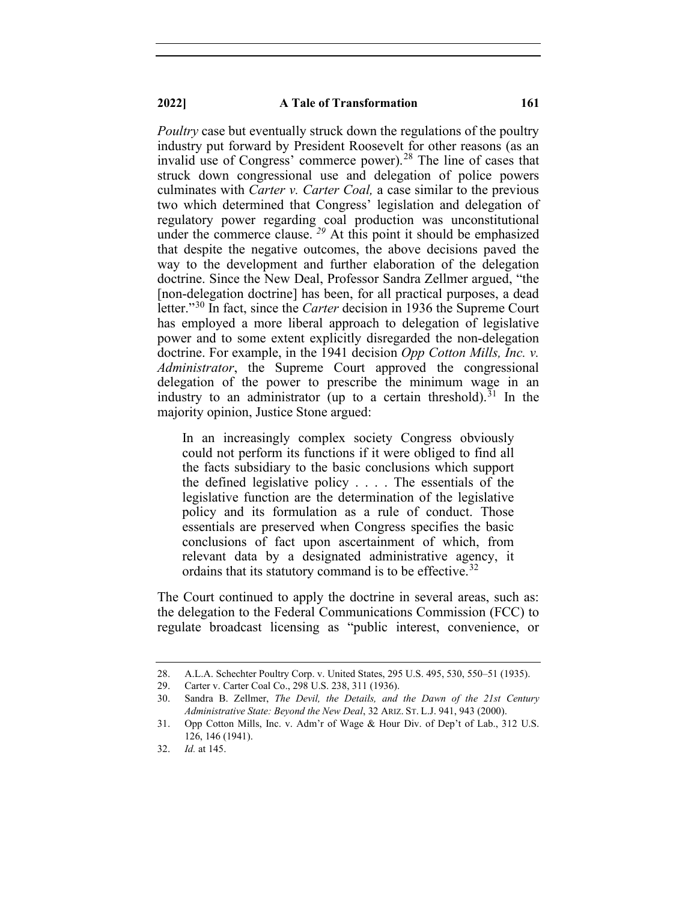#### **2022] A Tale of Transformation 161**

*Poultry* case but eventually struck down the regulations of the poultry industry put forward by President Roosevelt for other reasons (as an invalid use of Congress' commerce power).<sup>[28](#page-7-0)</sup> The line of cases that struck down congressional use and delegation of police powers culminates with *Carter v. Carter Coal,* a case similar to the previous two which determined that Congress' legislation and delegation of regulatory power regarding coal production was unconstitutional under the commerce clause.<sup>[29](#page-7-1)</sup> At this point it should be emphasized that despite the negative outcomes, the above decisions paved the way to the development and further elaboration of the delegation doctrine. Since the New Deal, Professor Sandra Zellmer argued, "the [non-delegation doctrine] has been, for all practical purposes, a dead letter."[30](#page-7-2) In fact, since the *Carter* decision in 1936 the Supreme Court has employed a more liberal approach to delegation of legislative power and to some extent explicitly disregarded the non-delegation doctrine. For example, in the 1941 decision *Opp Cotton Mills, Inc. v. Administrator*, the Supreme Court approved the congressional delegation of the power to prescribe the minimum wage in an industry to an administrator (up to a certain threshold).<sup>[31](#page-7-3)</sup> In the majority opinion, Justice Stone argued:

In an increasingly complex society Congress obviously could not perform its functions if it were obliged to find all the facts subsidiary to the basic conclusions which support the defined legislative policy . . . . The essentials of the legislative function are the determination of the legislative policy and its formulation as a rule of conduct. Those essentials are preserved when Congress specifies the basic conclusions of fact upon ascertainment of which, from relevant data by a designated administrative agency, it ordains that its statutory command is to be effective.<sup>[32](#page-7-4)</sup>

The Court continued to apply the doctrine in several areas, such as: the delegation to the Federal Communications Commission (FCC) to regulate broadcast licensing as "public interest, convenience, or

<span id="page-7-1"></span><span id="page-7-0"></span><sup>28.</sup> A.L.A. Schechter Poultry Corp. v. United States, 295 U.S. 495, 530, 550–51 (1935).

<sup>29.</sup> Carter v. Carter Coal Co., 298 U.S. 238, 311 (1936).

<span id="page-7-2"></span><sup>30.</sup> Sandra B. Zellmer, *The Devil, the Details, and the Dawn of the 21st Century Administrative State: Beyond the New Deal*, 32 ARIZ. ST. L.J. 941, 943 (2000).

<span id="page-7-3"></span><sup>31.</sup> Opp Cotton Mills, Inc. v. Adm'r of Wage & Hour Div. of Dep't of Lab., 312 U.S. 126, 146 (1941).

<span id="page-7-4"></span><sup>32.</sup> *Id.* at 145.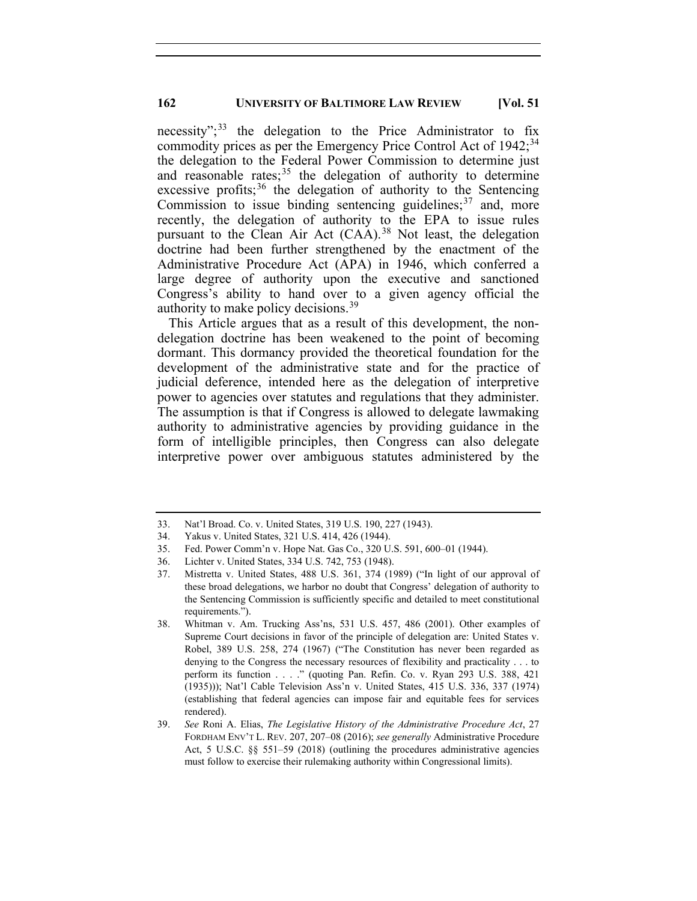necessity";<sup>[33](#page-8-0)</sup> the delegation to the Price Administrator to fix commodity prices as per the Emergency Price Control Act of 1942;<sup>[34](#page-8-1)</sup> the delegation to the Federal Power Commission to determine just and reasonable rates;<sup>[35](#page-8-2)</sup> the delegation of authority to determine excessive profits;<sup>[36](#page-8-3)</sup> the delegation of authority to the Sentencing Commission to issue binding sentencing guidelines; $37$  and, more recently, the delegation of authority to the EPA to issue rules pursuant to the Clean Air Act (CAA).<sup>[38](#page-8-5)</sup> Not least, the delegation doctrine had been further strengthened by the enactment of the Administrative Procedure Act (APA) in 1946, which conferred a large degree of authority upon the executive and sanctioned Congress's ability to hand over to a given agency official the authority to make policy decisions.<sup>[39](#page-8-6)</sup>

This Article argues that as a result of this development, the nondelegation doctrine has been weakened to the point of becoming dormant. This dormancy provided the theoretical foundation for the development of the administrative state and for the practice of judicial deference, intended here as the delegation of interpretive power to agencies over statutes and regulations that they administer. The assumption is that if Congress is allowed to delegate lawmaking authority to administrative agencies by providing guidance in the form of intelligible principles, then Congress can also delegate interpretive power over ambiguous statutes administered by the

<span id="page-8-0"></span><sup>33.</sup> Nat'l Broad. Co. v. United States, 319 U.S. 190, 227 (1943).

<span id="page-8-1"></span><sup>34.</sup> Yakus v. United States, 321 U.S. 414, 426 (1944).

<span id="page-8-2"></span><sup>35.</sup> Fed. Power Comm'n v. Hope Nat. Gas Co., 320 U.S. 591, 600–01 (1944).

<span id="page-8-3"></span><sup>36.</sup> Lichter v. United States, 334 U.S. 742, 753 (1948).

<span id="page-8-4"></span><sup>37.</sup> Mistretta v. United States, 488 U.S. 361, 374 (1989) ("In light of our approval of these broad delegations, we harbor no doubt that Congress' delegation of authority to the Sentencing Commission is sufficiently specific and detailed to meet constitutional requirements.").

<span id="page-8-5"></span><sup>38.</sup> Whitman v. Am. Trucking Ass'ns, 531 U.S. 457, 486 (2001). Other examples of Supreme Court decisions in favor of the principle of delegation are: United States v. Robel, 389 U.S. 258, 274 (1967) ("The Constitution has never been regarded as denying to the Congress the necessary resources of flexibility and practicality . . . to perform its function . . . ." (quoting Pan. Refin. Co. v. Ryan 293 U.S. 388, 421 (1935))); Nat'l Cable Television Ass'n v. United States, 415 U.S. 336, 337 (1974) (establishing that federal agencies can impose fair and equitable fees for services rendered).

<span id="page-8-6"></span><sup>39.</sup> *See* Roni A. Elias, *The Legislative History of the Administrative Procedure Act*, 27 FORDHAM ENV'T L. REV. 207, 207–08 (2016); *see generally* Administrative Procedure Act, 5 U.S.C. §§ 551–59 (2018) (outlining the procedures administrative agencies must follow to exercise their rulemaking authority within Congressional limits).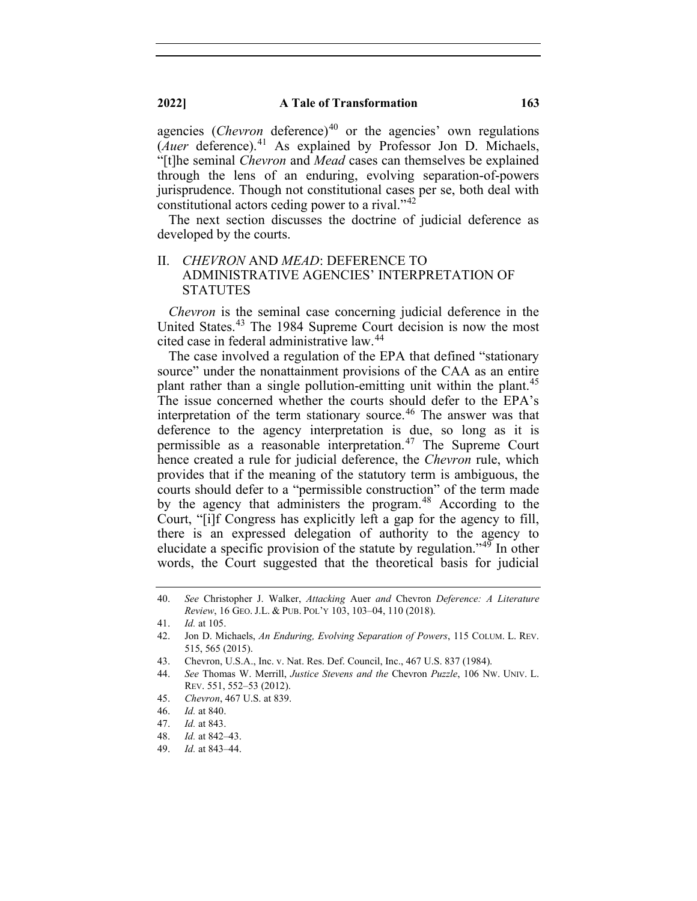### **2022] A Tale of Transformation 163**

agencies (*Chevron* deference)<sup>[40](#page-9-0)</sup> or the agencies' own regulations (*Auer* deference). [41](#page-9-1) As explained by Professor Jon D. Michaels, "[t]he seminal *Chevron* and *Mead* cases can themselves be explained through the lens of an enduring, evolving separation-of-powers jurisprudence. Though not constitutional cases per se, both deal with constitutional actors ceding power to a rival."<sup>[42](#page-9-2)</sup>

The next section discusses the doctrine of judicial deference as developed by the courts.

## II. *CHEVRON* AND *MEAD*: DEFERENCE TO ADMINISTRATIVE AGENCIES' INTERPRETATION OF **STATUTES**

*Chevron* is the seminal case concerning judicial deference in the United States.<sup>[43](#page-9-3)</sup> The 1984 Supreme Court decision is now the most cited case in federal administrative law.<sup>[44](#page-9-4)</sup>

The case involved a regulation of the EPA that defined "stationary source" under the nonattainment provisions of the CAA as an entire plant rather than a single pollution-emitting unit within the plant.<sup>[45](#page-9-5)</sup> The issue concerned whether the courts should defer to the EPA's interpretation of the term stationary source. [46](#page-9-6) The answer was that deference to the agency interpretation is due, so long as it is permissible as a reasonable interpretation.[47](#page-9-7) The Supreme Court hence created a rule for judicial deference, the *Chevron* rule, which provides that if the meaning of the statutory term is ambiguous, the courts should defer to a "permissible construction" of the term made by the agency that administers the program.<sup>[48](#page-9-8)</sup> According to the Court, "[i]f Congress has explicitly left a gap for the agency to fill, there is an expressed delegation of authority to the agency to elucidate a specific provision of the statute by regulation."[49](#page-9-9) In other words, the Court suggested that the theoretical basis for judicial

- 48. *Id.* at 842–43.
- <span id="page-9-9"></span>49. *Id.* at 843–44.

<span id="page-9-0"></span><sup>40.</sup> *See* Christopher J. Walker, *Attacking* Auer *and* Chevron *Deference: A Literature Review*, 16 GEO. J.L. & PUB. POL'Y 103, 103–04, 110 (2018).

<span id="page-9-1"></span><sup>41.</sup> *Id.* at 105.

<span id="page-9-2"></span><sup>42.</sup> Jon D. Michaels, *An Enduring, Evolving Separation of Powers*, 115 COLUM. L. REV. 515, 565 (2015).

<span id="page-9-3"></span><sup>43.</sup> Chevron, U.S.A., Inc. v. Nat. Res. Def. Council, Inc., 467 U.S. 837 (1984).

<span id="page-9-4"></span><sup>44.</sup> *See* Thomas W. Merrill, *Justice Stevens and the* Chevron *Puzzle*, 106 NW. UNIV. L. REV. 551, 552–53 (2012).

<sup>45.</sup> *Chevron*, 467 U.S. at 839.

<span id="page-9-6"></span><span id="page-9-5"></span><sup>46.</sup> *Id.* at 840.

<span id="page-9-8"></span><span id="page-9-7"></span><sup>47.</sup> *Id.* at 843.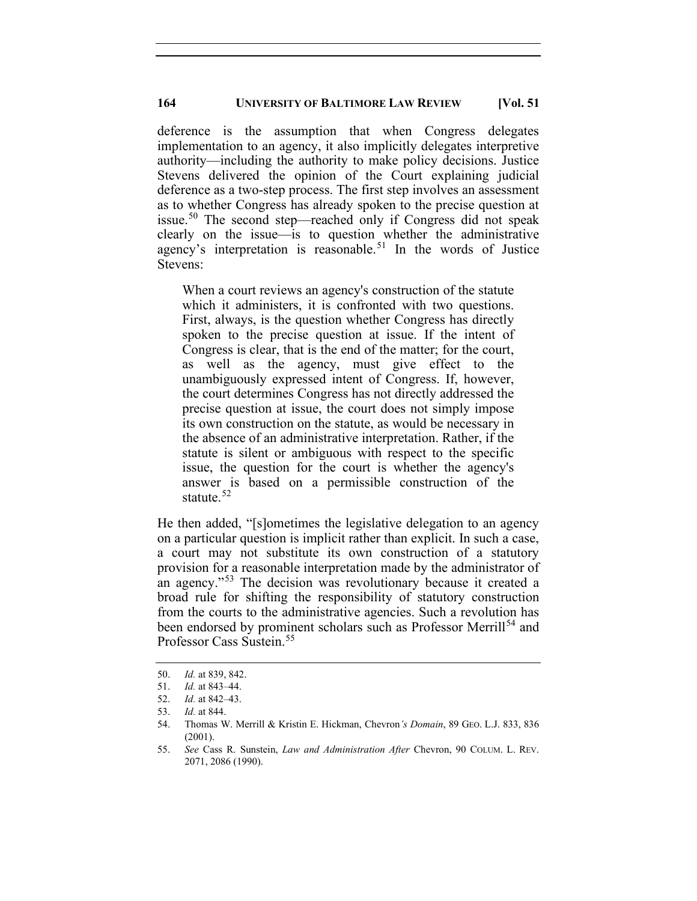deference is the assumption that when Congress delegates implementation to an agency, it also implicitly delegates interpretive authority—including the authority to make policy decisions. Justice Stevens delivered the opinion of the Court explaining judicial deference as a two-step process. The first step involves an assessment as to whether Congress has already spoken to the precise question at issue.[50](#page-10-0) The second step—reached only if Congress did not speak clearly on the issue—is to question whether the administrative agency's interpretation is reasonable.<sup>[51](#page-10-1)</sup> In the words of Justice Stevens:

When a court reviews an agency's construction of the statute which it administers, it is confronted with two questions. First, always, is the question whether Congress has directly spoken to the precise question at issue. If the intent of Congress is clear, that is the end of the matter; for the court, as well as the agency, must give effect to the unambiguously expressed intent of Congress. If, however, the court determines Congress has not directly addressed the precise question at issue, the court does not simply impose its own construction on the statute, as would be necessary in the absence of an administrative interpretation. Rather, if the statute is silent or ambiguous with respect to the specific issue, the question for the court is whether the agency's answer is based on a permissible construction of the statute. [52](#page-10-2)

He then added, "[s]ometimes the legislative delegation to an agency on a particular question is implicit rather than explicit. In such a case, a court may not substitute its own construction of a statutory provision for a reasonable interpretation made by the administrator of an agency."<sup>[53](#page-10-3)</sup> The decision was revolutionary because it created a broad rule for shifting the responsibility of statutory construction from the courts to the administrative agencies. Such a revolution has been endorsed by prominent scholars such as Professor Merrill<sup>[54](#page-10-4)</sup> and Professor Cass Sustein. [55](#page-10-5)

<span id="page-10-0"></span><sup>50.</sup> *Id.* at 839, 842.

<span id="page-10-1"></span><sup>51.</sup> *Id.* at 843–44.

<span id="page-10-2"></span><sup>52.</sup> *Id.* at 842–43.

<sup>53.</sup> *Id.* at 844.

<span id="page-10-4"></span><span id="page-10-3"></span><sup>54.</sup> Thomas W. Merrill & Kristin E. Hickman, Chevron*'s Domain*, 89 GEO. L.J. 833, 836 (2001).

<span id="page-10-5"></span><sup>55.</sup> *See* Cass R. Sunstein, *Law and Administration After* Chevron, 90 COLUM. L. REV. 2071, 2086 (1990).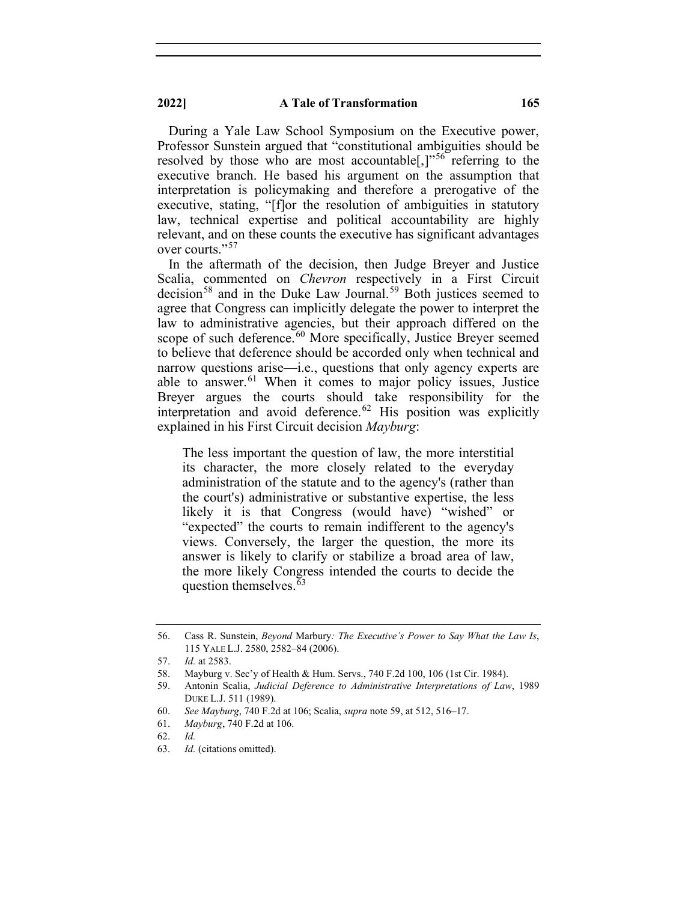During a Yale Law School Symposium on the Executive power, Professor Sunstein argued that "constitutional ambiguities should be resolved by those who are most accountable<sup>[1,]"[56](#page-11-0)</sup> referring to the executive branch. He based his argument on the assumption that interpretation is policymaking and therefore a prerogative of the executive, stating, "[f]or the resolution of ambiguities in statutory law, technical expertise and political accountability are highly relevant, and on these counts the executive has significant advantages over courts."<sup>[57](#page-11-1)</sup>

In the aftermath of the decision, then Judge Breyer and Justice Scalia, commented on *Chevron* respectively in a First Circuit decision<sup>[58](#page-11-2)</sup> and in the Duke Law Journal.<sup>[59](#page-11-3)</sup> Both justices seemed to agree that Congress can implicitly delegate the power to interpret the law to administrative agencies, but their approach differed on the scope of such deference.<sup>[60](#page-11-4)</sup> More specifically, Justice Breyer seemed to believe that deference should be accorded only when technical and narrow questions arise—i.e., questions that only agency experts are able to answer.<sup>[61](#page-11-5)</sup> When it comes to major policy issues, Justice Breyer argues the courts should take responsibility for the interpretation and avoid deference.<sup>[62](#page-11-6)</sup> His position was explicitly explained in his First Circuit decision *Mayburg*:

The less important the question of law, the more interstitial its character, the more closely related to the everyday administration of the statute and to the agency's (rather than the court's) administrative or substantive expertise, the less likely it is that Congress (would have) "wished" or "expected" the courts to remain indifferent to the agency's views. Conversely, the larger the question, the more its answer is likely to clarify or stabilize a broad area of law, the more likely Congress intended the courts to decide the question themselves.<sup>[63](#page-11-7)</sup>

<span id="page-11-0"></span><sup>56.</sup> Cass R. Sunstein, *Beyond* Marbury*: The Executive's Power to Say What the Law Is*, 115 YALE L.J. 2580, 2582–84 (2006).

<span id="page-11-1"></span><sup>57.</sup> *Id.* at 2583.

<span id="page-11-2"></span><sup>58.</sup> Mayburg v. Sec'y of Health & Hum. Servs., 740 F.2d 100, 106 (1st Cir. 1984).

<span id="page-11-3"></span><sup>59.</sup> Antonin Scalia, *Judicial Deference to Administrative Interpretations of Law*, 1989 DUKE L.J. 511 (1989).

<sup>60.</sup> *See Mayburg*, 740 F.2d at 106; Scalia, *supra* note 59, at 512, 516–17.

<span id="page-11-5"></span><span id="page-11-4"></span><sup>61.</sup> *Mayburg*, 740 F.2d at 106.

<sup>62.</sup> *Id.*

<span id="page-11-7"></span><span id="page-11-6"></span><sup>63.</sup> *Id.* (citations omitted).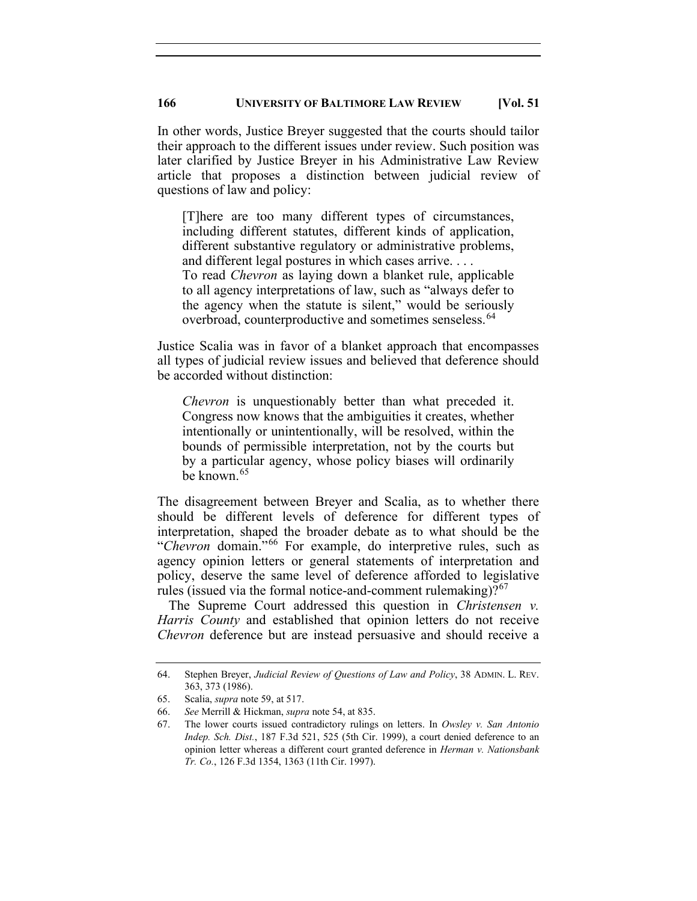In other words, Justice Breyer suggested that the courts should tailor their approach to the different issues under review. Such position was later clarified by Justice Breyer in his Administrative Law Review article that proposes a distinction between judicial review of questions of law and policy:

[T]here are too many different types of circumstances, including different statutes, different kinds of application, different substantive regulatory or administrative problems, and different legal postures in which cases arrive. . . . To read *Chevron* as laying down a blanket rule, applicable to all agency interpretations of law, such as "always defer to the agency when the statute is silent," would be seriously overbroad, counterproductive and sometimes senseless.<sup>[64](#page-12-0)</sup>

Justice Scalia was in favor of a blanket approach that encompasses all types of judicial review issues and believed that deference should be accorded without distinction:

*Chevron* is unquestionably better than what preceded it. Congress now knows that the ambiguities it creates, whether intentionally or unintentionally, will be resolved, within the bounds of permissible interpretation, not by the courts but by a particular agency, whose policy biases will ordinarily be known.<sup>[65](#page-12-1)</sup>

The disagreement between Breyer and Scalia, as to whether there should be different levels of deference for different types of interpretation, shaped the broader debate as to what should be the "*Chevron* domain."[66](#page-12-2) For example, do interpretive rules, such as agency opinion letters or general statements of interpretation and policy, deserve the same level of deference afforded to legislative rules (issued via the formal notice-and-comment rulemaking)? $67$ 

The Supreme Court addressed this question in *Christensen v. Harris County* and established that opinion letters do not receive *Chevron* deference but are instead persuasive and should receive a

<span id="page-12-0"></span><sup>64.</sup> Stephen Breyer, *Judicial Review of Questions of Law and Policy*, 38 ADMIN. L. REV. 363, 373 (1986).

<span id="page-12-1"></span><sup>65.</sup> Scalia, *supra* note 59, at 517.

<span id="page-12-3"></span><span id="page-12-2"></span><sup>66.</sup> *See* Merrill & Hickman, *supra* note 54, at 835.

<sup>67.</sup> The lower courts issued contradictory rulings on letters. In *Owsley v. San Antonio Indep. Sch. Dist.*, 187 F.3d 521, 525 (5th Cir. 1999), a court denied deference to an opinion letter whereas a different court granted deference in *Herman v. Nationsbank Tr. Co.*, 126 F.3d 1354, 1363 (11th Cir. 1997).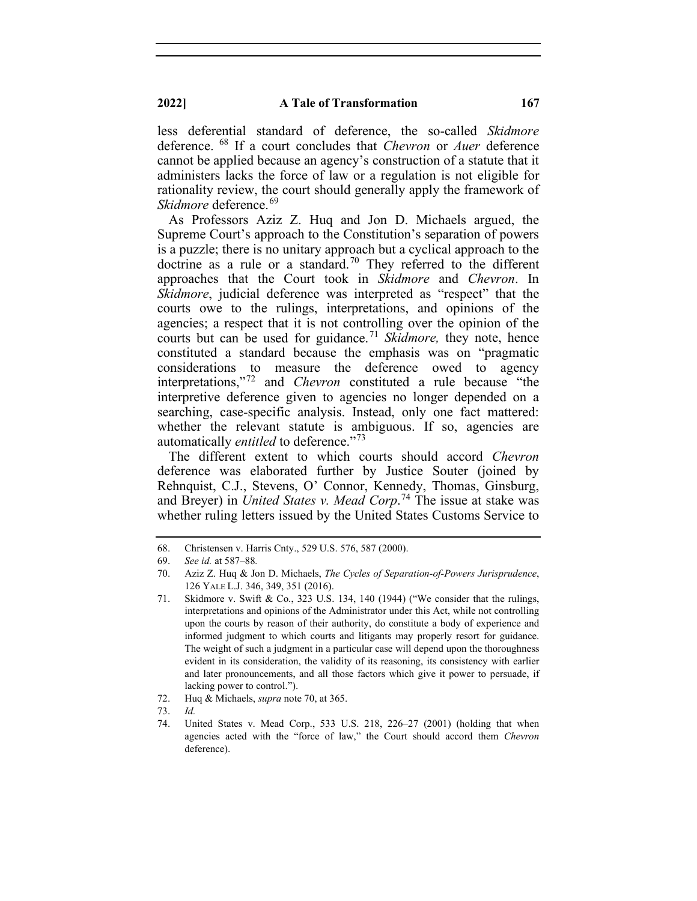less deferential standard of deference, the so-called *Skidmore* deference. [68](#page-13-0) If a court concludes that *Chevron* or *Auer* deference cannot be applied because an agency's construction of a statute that it administers lacks the force of law or a regulation is not eligible for rationality review, the court should generally apply the framework of *Skidmore* deference. [69](#page-13-1)

As Professors Aziz Z. Huq and Jon D. Michaels argued, the Supreme Court's approach to the Constitution's separation of powers is a puzzle; there is no unitary approach but a cyclical approach to the doctrine as a rule or a standard.<sup>[70](#page-13-2)</sup> They referred to the different approaches that the Court took in *Skidmore* and *Chevron*. In *Skidmore*, judicial deference was interpreted as "respect" that the courts owe to the rulings, interpretations, and opinions of the agencies; a respect that it is not controlling over the opinion of the courts but can be used for guidance.<sup>[71](#page-13-3)</sup> *Skidmore*, they note, hence constituted a standard because the emphasis was on "pragmatic considerations to measure the deference owed to agency interpretations,"[72](#page-13-4) and *Chevron* constituted a rule because "the interpretive deference given to agencies no longer depended on a searching, case-specific analysis. Instead, only one fact mattered: whether the relevant statute is ambiguous. If so, agencies are automatically *entitled* to deference."<sup>13</sup>

The different extent to which courts should accord *Chevron* deference was elaborated further by Justice Souter (joined by Rehnquist, C.J., Stevens, O' Connor, Kennedy, Thomas, Ginsburg, and Breyer) in *United States v. Mead Corp*. [74](#page-13-6) The issue at stake was whether ruling letters issued by the United States Customs Service to

<span id="page-13-0"></span><sup>68.</sup> Christensen v. Harris Cnty., 529 U.S. 576, 587 (2000).

<span id="page-13-2"></span><span id="page-13-1"></span><sup>69.</sup> *See id.* at 587–88*.*

<sup>70.</sup> Aziz Z. Huq & Jon D. Michaels, *The Cycles of Separation-of-Powers Jurisprudence*, 126 YALE L.J. 346, 349, 351 (2016).

<span id="page-13-3"></span><sup>71.</sup> Skidmore v. Swift & Co., 323 U.S. 134, 140 (1944) ("We consider that the rulings, interpretations and opinions of the Administrator under this Act, while not controlling upon the courts by reason of their authority, do constitute a body of experience and informed judgment to which courts and litigants may properly resort for guidance. The weight of such a judgment in a particular case will depend upon the thoroughness evident in its consideration, the validity of its reasoning, its consistency with earlier and later pronouncements, and all those factors which give it power to persuade, if lacking power to control.").

<sup>72.</sup> Huq & Michaels, *supra* note 70, at 365.

<span id="page-13-6"></span><span id="page-13-5"></span><span id="page-13-4"></span><sup>73.</sup> *Id.*

<sup>74.</sup> United States v. Mead Corp., 533 U.S. 218, 226–27 (2001) (holding that when agencies acted with the "force of law," the Court should accord them *Chevron* deference).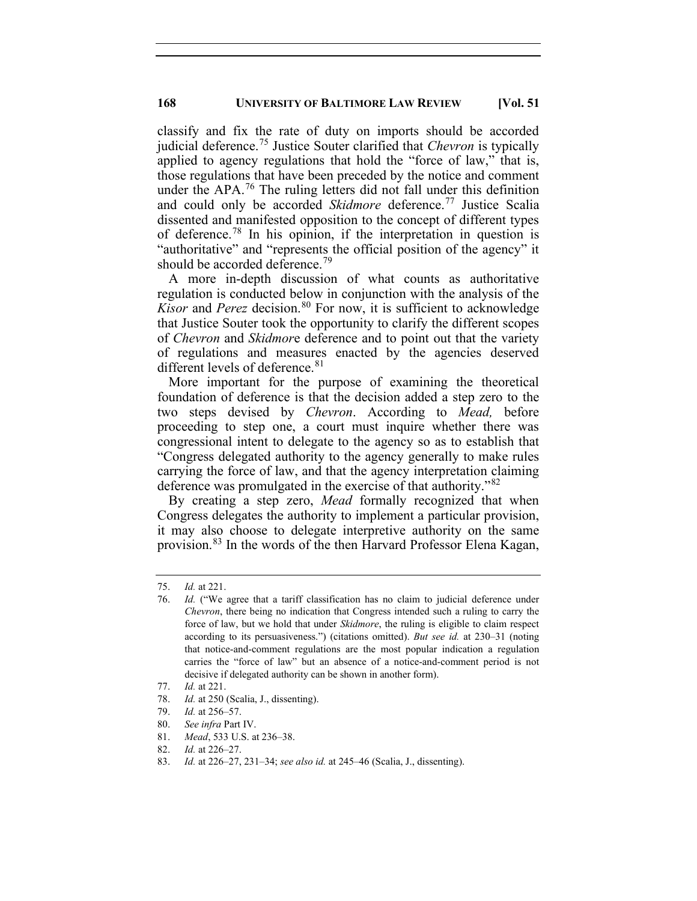classify and fix the rate of duty on imports should be accorded judicial deference.[75](#page-14-0) Justice Souter clarified that *Chevron* is typically applied to agency regulations that hold the "force of law," that is, those regulations that have been preceded by the notice and comment under the APA. [76](#page-14-1) The ruling letters did not fall under this definition and could only be accorded *Skidmore* deference.<sup>[77](#page-14-2)</sup> Justice Scalia dissented and manifested opposition to the concept of different types of deference.[78](#page-14-3) In his opinion, if the interpretation in question is "authoritative" and "represents the official position of the agency" it should be accorded deference.<sup>[79](#page-14-4)</sup>

A more in-depth discussion of what counts as authoritative regulation is conducted below in conjunction with the analysis of the *Kisor* and *Perez* decision.<sup>[80](#page-14-5)</sup> For now, it is sufficient to acknowledge that Justice Souter took the opportunity to clarify the different scopes of *Chevron* and *Skidmor*e deference and to point out that the variety of regulations and measures enacted by the agencies deserved different levels of deference.<sup>[81](#page-14-6)</sup>

More important for the purpose of examining the theoretical foundation of deference is that the decision added a step zero to the two steps devised by *Chevron*. According to *Mead,* before proceeding to step one, a court must inquire whether there was congressional intent to delegate to the agency so as to establish that "Congress delegated authority to the agency generally to make rules carrying the force of law, and that the agency interpretation claiming deference was promulgated in the exercise of that authority."<sup>[82](#page-14-7)</sup>

By creating a step zero, *Mead* formally recognized that when Congress delegates the authority to implement a particular provision, it may also choose to delegate interpretive authority on the same provision.[83](#page-14-8) In the words of the then Harvard Professor Elena Kagan,

<span id="page-14-0"></span><sup>75.</sup> *Id.* at 221.

<span id="page-14-1"></span><sup>76.</sup> *Id.* ("We agree that a tariff classification has no claim to judicial deference under *Chevron*, there being no indication that Congress intended such a ruling to carry the force of law, but we hold that under *Skidmore*, the ruling is eligible to claim respect according to its persuasiveness.") (citations omitted). *But see id.* at 230–31 (noting that notice-and-comment regulations are the most popular indication a regulation carries the "force of law" but an absence of a notice-and-comment period is not decisive if delegated authority can be shown in another form).

<span id="page-14-2"></span><sup>77.</sup> *Id.* at 221.

<sup>78.</sup> *Id.* at 250 (Scalia, J., dissenting).

<span id="page-14-4"></span><span id="page-14-3"></span><sup>79.</sup> *Id.* at 256–57.

<span id="page-14-6"></span><span id="page-14-5"></span><sup>80.</sup> *See infra* Part IV.

<sup>81.</sup> *Mead*, 533 U.S. at 236–38.

<sup>82.</sup> *Id.* at 226–27.

<span id="page-14-8"></span><span id="page-14-7"></span><sup>83.</sup> *Id.* at 226–27, 231–34; *see also id.* at 245–46 (Scalia, J., dissenting).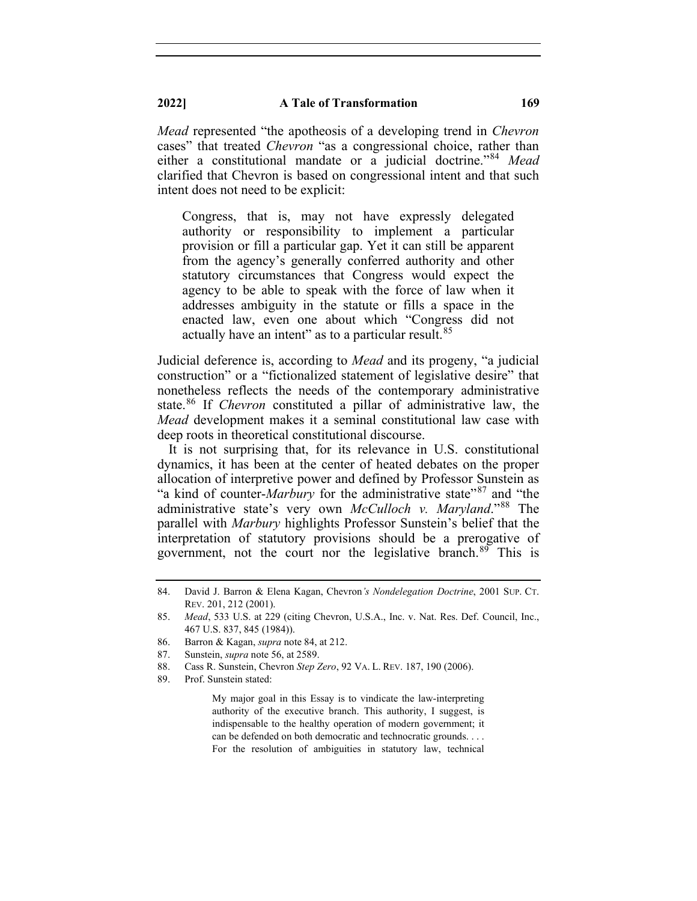*Mead* represented "the apotheosis of a developing trend in *Chevron* cases" that treated *Chevron* "as a congressional choice, rather than either a constitutional mandate or a judicial doctrine."[84](#page-15-0) *Mead*  clarified that Chevron is based on congressional intent and that such intent does not need to be explicit:

Congress, that is, may not have expressly delegated authority or responsibility to implement a particular provision or fill a particular gap. Yet it can still be apparent from the agency's generally conferred authority and other statutory circumstances that Congress would expect the agency to be able to speak with the force of law when it addresses ambiguity in the statute or fills a space in the enacted law, even one about which "Congress did not actually have an intent" as to a particular result.<sup>[85](#page-15-1)</sup>

Judicial deference is, according to *Mead* and its progeny, "a judicial construction" or a "fictionalized statement of legislative desire" that nonetheless reflects the needs of the contemporary administrative state. [86](#page-15-2) If *Chevron* constituted a pillar of administrative law, the *Mead* development makes it a seminal constitutional law case with deep roots in theoretical constitutional discourse.

It is not surprising that, for its relevance in U.S. constitutional dynamics, it has been at the center of heated debates on the proper allocation of interpretive power and defined by Professor Sunstein as "a kind of counter-*Marbury* for the administrative state"<sup>[87](#page-15-3)</sup> and "the administrative state's very own *McCulloch v. Maryland*."[88](#page-15-4) The parallel with *Marbury* highlights Professor Sunstein's belief that the interpretation of statutory provisions should be a prerogative of government, not the court nor the legislative branch.<sup>[89](#page-15-5)</sup> This is

My major goal in this Essay is to vindicate the law-interpreting authority of the executive branch. This authority, I suggest, is indispensable to the healthy operation of modern government; it can be defended on both democratic and technocratic grounds. . . . For the resolution of ambiguities in statutory law, technical

<span id="page-15-0"></span><sup>84.</sup> David J. Barron & Elena Kagan, Chevron*'s Nondelegation Doctrine*, 2001 SUP. CT. REV. 201, 212 (2001).

<span id="page-15-1"></span><sup>85.</sup> *Mead*, 533 U.S. at 229 (citing Chevron, U.S.A., Inc. v. Nat. Res. Def. Council, Inc., 467 U.S. 837, 845 (1984)).

<span id="page-15-2"></span><sup>86.</sup> Barron & Kagan, *supra* note 84, at 212.

<span id="page-15-3"></span><sup>87.</sup> Sunstein, *supra* note 56, at 2589.

<span id="page-15-4"></span><sup>88.</sup> Cass R. Sunstein, Chevron *Step Zero*, 92 VA. L. REV. 187, 190 (2006).

<span id="page-15-5"></span><sup>89.</sup> Prof. Sunstein stated: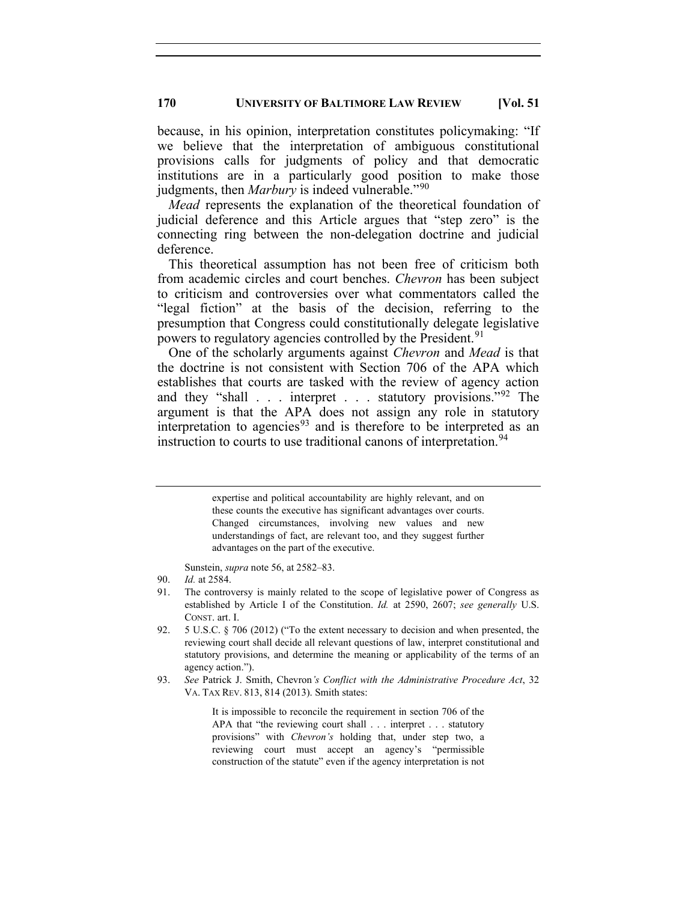because, in his opinion, interpretation constitutes policymaking: "If we believe that the interpretation of ambiguous constitutional provisions calls for judgments of policy and that democratic institutions are in a particularly good position to make those judgments, then *Marbury* is indeed vulnerable."<sup>[90](#page-16-0)</sup>

*Mead* represents the explanation of the theoretical foundation of judicial deference and this Article argues that "step zero" is the connecting ring between the non-delegation doctrine and judicial deference.

This theoretical assumption has not been free of criticism both from academic circles and court benches. *Chevron* has been subject to criticism and controversies over what commentators called the "legal fiction" at the basis of the decision, referring to the presumption that Congress could constitutionally delegate legislative powers to regulatory agencies controlled by the President.<sup>[91](#page-16-1)</sup>

One of the scholarly arguments against *Chevron* and *Mead* is that the doctrine is not consistent with Section 706 of the APA which establishes that courts are tasked with the review of agency action and they "shall . . . interpret . . . statutory provisions."<sup>[92](#page-16-2)</sup> The argument is that the APA does not assign any role in statutory interpretation to agencies<sup>[93](#page-16-3)</sup> and is therefore to be interpreted as an instruction to courts to use traditional canons of interpretation. [94](#page-16-4)

> expertise and political accountability are highly relevant, and on these counts the executive has significant advantages over courts. Changed circumstances, involving new values and new understandings of fact, are relevant too, and they suggest further advantages on the part of the executive.

Sunstein, *supra* note 56, at 2582–83.

<span id="page-16-4"></span><span id="page-16-3"></span>93. *See* Patrick J. Smith, Chevron*'s Conflict with the Administrative Procedure Act*, 32 VA. TAX REV. 813, 814 (2013). Smith states:

> It is impossible to reconcile the requirement in section 706 of the APA that "the reviewing court shall . . . interpret . . . statutory provisions" with *Chevron's* holding that, under step two, a reviewing court must accept an agency's "permissible construction of the statute" even if the agency interpretation is not

<span id="page-16-0"></span><sup>90.</sup> *Id.* at 2584.

<span id="page-16-1"></span><sup>91.</sup> The controversy is mainly related to the scope of legislative power of Congress as established by Article I of the Constitution. *Id.* at 2590, 2607; *see generally* U.S. CONST. art. I.

<span id="page-16-2"></span><sup>92.</sup> 5 U.S.C. § 706 (2012) ("To the extent necessary to decision and when presented, the reviewing court shall decide all relevant questions of law, interpret constitutional and statutory provisions, and determine the meaning or applicability of the terms of an agency action.").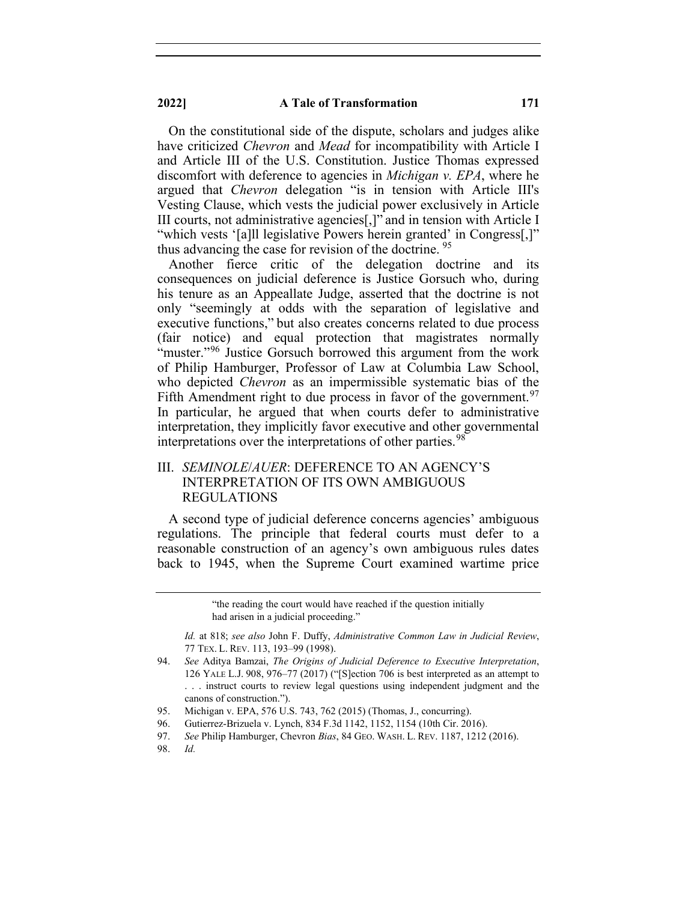**2022] A Tale of Transformation 171**

On the constitutional side of the dispute, scholars and judges alike have criticized *Chevron* and *Mead* for incompatibility with Article I and Article III of the U.S. Constitution. Justice Thomas expressed discomfort with deference to agencies in *Michigan v. EPA*, where he argued that *Chevron* delegation "is in tension with Article III's Vesting Clause, which vests the judicial power exclusively in Article III courts, not administrative agencies[,]" and in tension with Article I "which vests '[a]ll legislative Powers herein granted' in Congress[,]" thus advancing the case for revision of the doctrine. <sup>[95](#page-17-0)</sup>

Another fierce critic of the delegation doctrine and its consequences on judicial deference is Justice Gorsuch who, during his tenure as an Appeallate Judge, asserted that the doctrine is not only "seemingly at odds with the separation of legislative and executive functions," but also creates concerns related to due process (fair notice) and equal protection that magistrates normally "muster."<sup>[96](#page-17-1)</sup> Justice Gorsuch borrowed this argument from the work of Philip Hamburger, Professor of Law at Columbia Law School, who depicted *Chevron* as an impermissible systematic bias of the Fifth Amendment right to due process in favor of the government.<sup>[97](#page-17-2)</sup> In particular, he argued that when courts defer to administrative interpretation, they implicitly favor executive and other governmental interpretations over the interpretations of other parties.<sup>[98](#page-17-3)</sup>

# III. *SEMINOLE*/*AUER*: DEFERENCE TO AN AGENCY'S INTERPRETATION OF ITS OWN AMBIGUOUS REGULATIONS

A second type of judicial deference concerns agencies' ambiguous regulations. The principle that federal courts must defer to a reasonable construction of an agency's own ambiguous rules dates back to 1945, when the Supreme Court examined wartime price

<span id="page-17-0"></span>95. Michigan v. EPA, 576 U.S. 743, 762 (2015) (Thomas, J., concurring).

<span id="page-17-3"></span><span id="page-17-2"></span>98. *Id.*

<sup>&</sup>quot;the reading the court would have reached if the question initially had arisen in a judicial proceeding."

*Id.* at 818; *see also* John F. Duffy, *Administrative Common Law in Judicial Review*, 77 TEX. L. REV. 113, 193–99 (1998).

<sup>94.</sup> *See* Aditya Bamzai, *The Origins of Judicial Deference to Executive Interpretation*, 126 YALE L.J. 908, 976–77 (2017) ("[S]ection 706 is best interpreted as an attempt to . . . instruct courts to review legal questions using independent judgment and the canons of construction.").

<span id="page-17-1"></span><sup>96.</sup> Gutierrez-Brizuela v. Lynch, 834 F.3d 1142, 1152, 1154 (10th Cir. 2016).

<sup>97.</sup> *See* Philip Hamburger, Chevron *Bias*, 84 GEO. WASH. L. REV. 1187, 1212 (2016).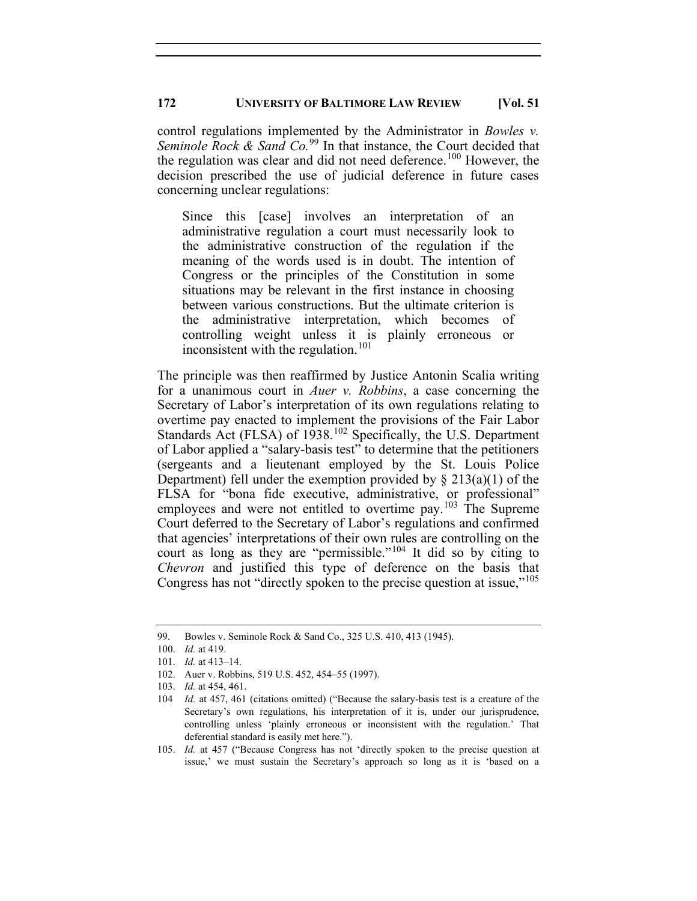control regulations implemented by the Administrator in *Bowles v. Seminole Rock & Sand Co.*<sup>[99](#page-18-0)</sup> In that instance, the Court decided that the regulation was clear and did not need deference.<sup>[100](#page-18-1)</sup> However, the decision prescribed the use of judicial deference in future cases concerning unclear regulations:

Since this [case] involves an interpretation of an administrative regulation a court must necessarily look to the administrative construction of the regulation if the meaning of the words used is in doubt. The intention of Congress or the principles of the Constitution in some situations may be relevant in the first instance in choosing between various constructions. But the ultimate criterion is the administrative interpretation, which becomes of controlling weight unless it is plainly erroneous or inconsistent with the regulation.<sup>[101](#page-18-2)</sup>

The principle was then reaffirmed by Justice Antonin Scalia writing for a unanimous court in *Auer v. Robbins*, a case concerning the Secretary of Labor's interpretation of its own regulations relating to overtime pay enacted to implement the provisions of the Fair Labor Standards Act (FLSA) of 1938.<sup>[102](#page-18-3)</sup> Specifically, the U.S. Department of Labor applied a "salary-basis test" to determine that the petitioners (sergeants and a lieutenant employed by the St. Louis Police Department) fell under the exemption provided by  $\S 213(a)(1)$  of the FLSA for "bona fide executive, administrative, or professional" employees and were not entitled to overtime pay.<sup>[103](#page-18-4)</sup> The Supreme Court deferred to the Secretary of Labor's regulations and confirmed that agencies' interpretations of their own rules are controlling on the court as long as they are "permissible."[104](#page-18-5) It did so by citing to *Chevron* and justified this type of deference on the basis that Congress has not "directly spoken to the precise question at issue,"[105](#page-18-6)

<span id="page-18-1"></span><span id="page-18-0"></span><sup>99.</sup> Bowles v. Seminole Rock & Sand Co., 325 U.S. 410, 413 (1945).

<sup>100.</sup> *Id.* at 419.

<span id="page-18-2"></span><sup>101.</sup> *Id.* at 413–14.

<sup>102.</sup> Auer v. Robbins, 519 U.S. 452, 454–55 (1997).

<span id="page-18-5"></span><span id="page-18-4"></span><span id="page-18-3"></span><sup>103.</sup> *Id.* at 454, 461.

<sup>104</sup> *Id.* at 457, 461 (citations omitted) ("Because the salary-basis test is a creature of the Secretary's own regulations, his interpretation of it is, under our jurisprudence, controlling unless 'plainly erroneous or inconsistent with the regulation.' That deferential standard is easily met here.").

<span id="page-18-6"></span><sup>105.</sup> *Id.* at 457 ("Because Congress has not 'directly spoken to the precise question at issue,' we must sustain the Secretary's approach so long as it is 'based on a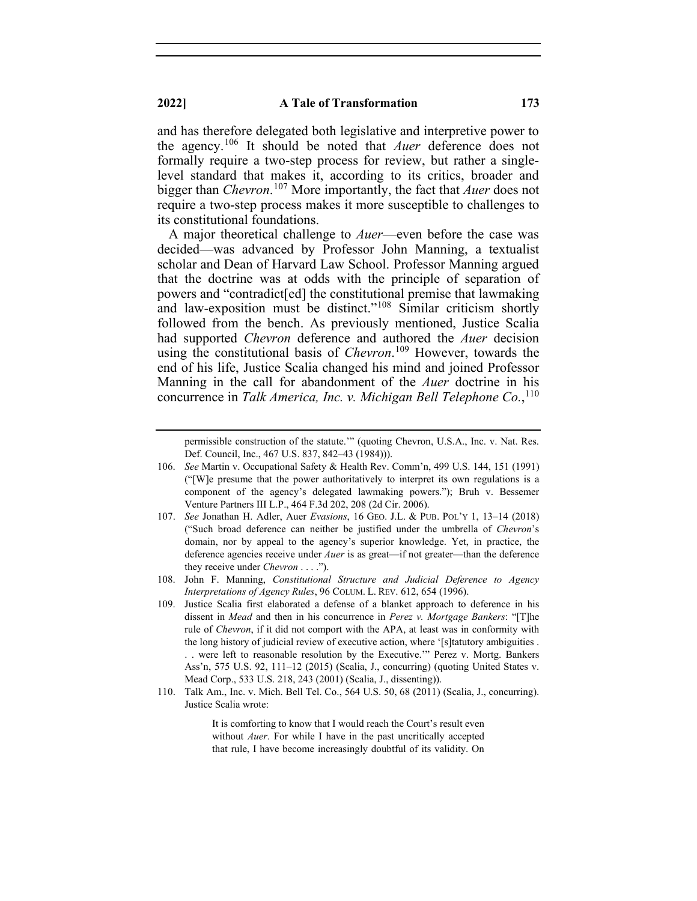and has therefore delegated both legislative and interpretive power to the agency. [106](#page-19-0) It should be noted that *Auer* deference does not formally require a two-step process for review, but rather a singlelevel standard that makes it, according to its critics, broader and bigger than *Chevron*. [107](#page-19-1) More importantly, the fact that *Auer* does not require a two-step process makes it more susceptible to challenges to its constitutional foundations.

A major theoretical challenge to *Auer*—even before the case was decided—was advanced by Professor John Manning, a textualist scholar and Dean of Harvard Law School. Professor Manning argued that the doctrine was at odds with the principle of separation of powers and "contradict[ed] the constitutional premise that lawmaking and law-exposition must be distinct."[108](#page-19-2) Similar criticism shortly followed from the bench. As previously mentioned, Justice Scalia had supported *Chevron* deference and authored the *Auer* decision using the constitutional basis of *Chevron*. [109](#page-19-3) However, towards the end of his life, Justice Scalia changed his mind and joined Professor Manning in the call for abandonment of the *Auer* doctrine in his concurrence in *Talk America, Inc. v. Michigan Bell Telephone Co.*, [110](#page-19-4)

<span id="page-19-4"></span>110. Talk Am., Inc. v. Mich. Bell Tel. Co., 564 U.S. 50, 68 (2011) (Scalia, J., concurring). Justice Scalia wrote:

> It is comforting to know that I would reach the Court's result even without *Auer*. For while I have in the past uncritically accepted that rule, I have become increasingly doubtful of its validity. On

permissible construction of the statute.'" (quoting Chevron, U.S.A., Inc. v. Nat. Res. Def. Council, Inc., 467 U.S. 837, 842–43 (1984))).

<span id="page-19-0"></span><sup>106.</sup> *See* Martin v. Occupational Safety & Health Rev. Comm'n, 499 U.S. 144, 151 (1991) ("[W]e presume that the power authoritatively to interpret its own regulations is a component of the agency's delegated lawmaking powers."); Bruh v. Bessemer Venture Partners III L.P., 464 F.3d 202, 208 (2d Cir. 2006).

<span id="page-19-1"></span><sup>107.</sup> *See* Jonathan H. Adler, Auer *Evasions*, 16 GEO. J.L. & PUB. POL'Y 1, 13–14 (2018) ("Such broad deference can neither be justified under the umbrella of *Chevron*'s domain, nor by appeal to the agency's superior knowledge. Yet, in practice, the deference agencies receive under *Auer* is as great—if not greater—than the deference they receive under *Chevron* . . . .").

<span id="page-19-2"></span><sup>108.</sup> John F. Manning, *Constitutional Structure and Judicial Deference to Agency Interpretations of Agency Rules*, 96 COLUM. L. REV. 612, 654 (1996).

<span id="page-19-3"></span><sup>109.</sup> Justice Scalia first elaborated a defense of a blanket approach to deference in his dissent in *Mead* and then in his concurrence in *Perez v. Mortgage Bankers*: "[T]he rule of *Chevron*, if it did not comport with the APA, at least was in conformity with the long history of judicial review of executive action, where '[s]tatutory ambiguities . . . were left to reasonable resolution by the Executive.'" Perez v. Mortg. Bankers Ass'n, 575 U.S. 92, 111–12 (2015) (Scalia, J., concurring) (quoting United States v. Mead Corp., 533 U.S. 218, 243 (2001) (Scalia, J., dissenting)).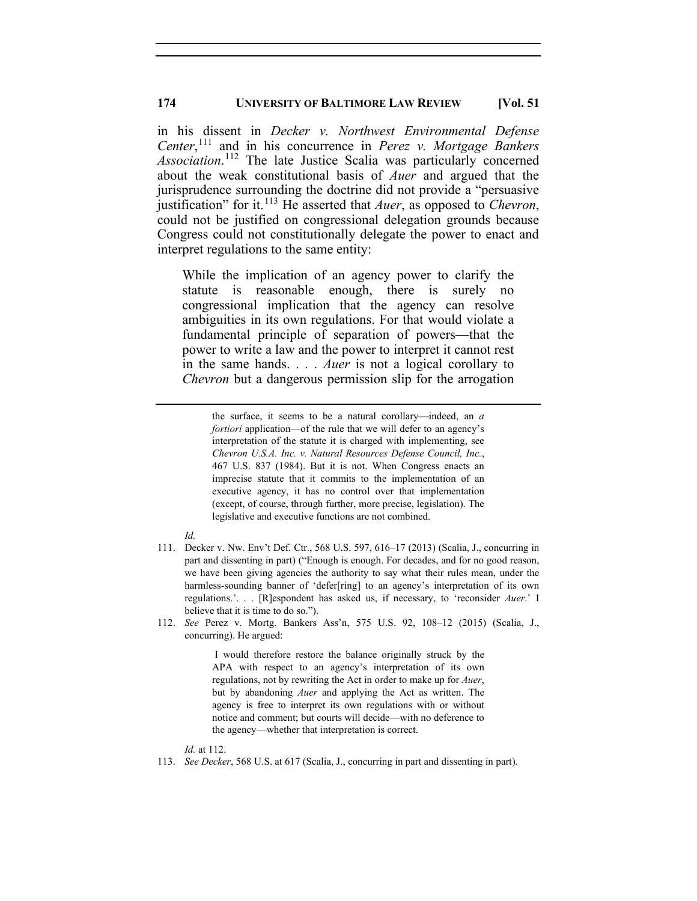in his dissent in *Decker v. Northwest Environmental Defense Center*, [111](#page-20-0) and in his concurrence in *Perez v. Mortgage Bankers Association*. [112](#page-20-1) The late Justice Scalia was particularly concerned about the weak constitutional basis of *Auer* and argued that the jurisprudence surrounding the doctrine did not provide a "persuasive justification" for it. [113](#page-20-2) He asserted that *Auer*, as opposed to *Chevron*, could not be justified on congressional delegation grounds because Congress could not constitutionally delegate the power to enact and interpret regulations to the same entity:

While the implication of an agency power to clarify the statute is reasonable enough, there is surely no congressional implication that the agency can resolve ambiguities in its own regulations. For that would violate a fundamental principle of separation of powers—that the power to write a law and the power to interpret it cannot rest in the same hands. . . . *Auer* is not a logical corollary to *Chevron* but a dangerous permission slip for the arrogation

the surface, it seems to be a natural corollary—indeed, an *a fortiori* application—of the rule that we will defer to an agency's interpretation of the statute it is charged with implementing, see *Chevron U.S.A. Inc. v. Natural Resources Defense Council, Inc.*, 467 U.S. 837 (1984). But it is not. When Congress enacts an imprecise statute that it commits to the implementation of an executive agency, it has no control over that implementation (except, of course, through further, more precise, legislation). The legislative and executive functions are not combined.

- *Id.*
- <span id="page-20-0"></span>111. Decker v. Nw. Env't Def. Ctr., 568 U.S. 597, 616–17 (2013) (Scalia, J., concurring in part and dissenting in part) ("Enough is enough. For decades, and for no good reason, we have been giving agencies the authority to say what their rules mean, under the harmless-sounding banner of 'defer[ring] to an agency's interpretation of its own regulations.'. . . [R]espondent has asked us, if necessary, to 'reconsider *Auer*.' I believe that it is time to do so.").
- <span id="page-20-1"></span>112. *See* Perez v. Mortg. Bankers Ass'n, 575 U.S. 92, 108–12 (2015) (Scalia, J., concurring). He argued:

I would therefore restore the balance originally struck by the APA with respect to an agency's interpretation of its own regulations, not by rewriting the Act in order to make up for *Auer*, but by abandoning *Auer* and applying the Act as written. The agency is free to interpret its own regulations with or without notice and comment; but courts will decide—with no deference to the agency—whether that interpretation is correct.

*Id.* at 112.

<span id="page-20-2"></span>113. *See Decker*, 568 U.S. at 617 (Scalia, J., concurring in part and dissenting in part).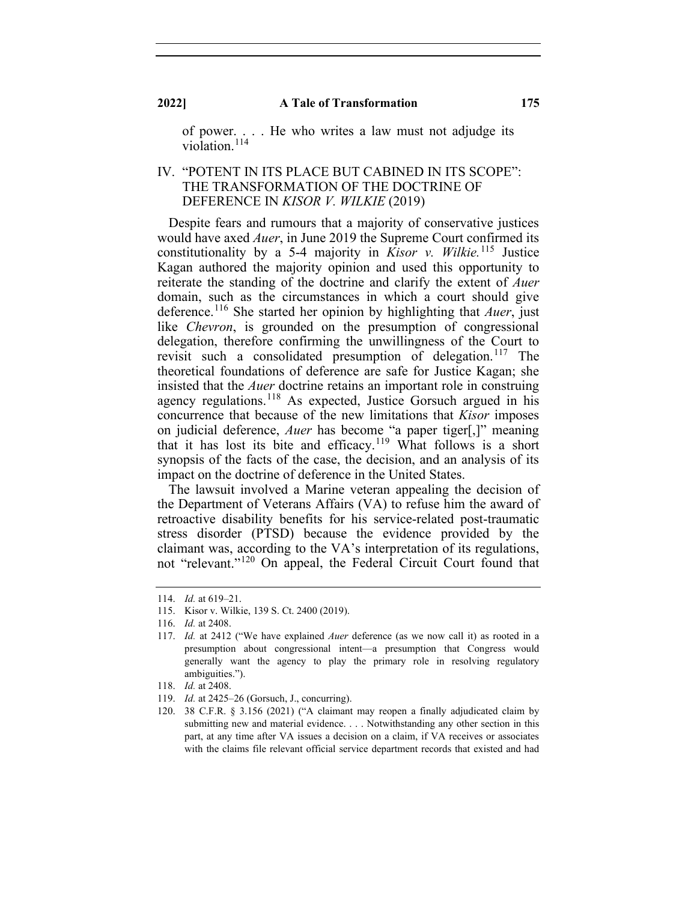of power. . . . He who writes a law must not adjudge its violation.<sup>[114](#page-21-0)</sup>

## IV. "POTENT IN ITS PLACE BUT CABINED IN ITS SCOPE": THE TRANSFORMATION OF THE DOCTRINE OF DEFERENCE IN *KISOR V. WILKIE* (2019)

Despite fears and rumours that a majority of conservative justices would have axed *Auer*, in June 2019 the Supreme Court confirmed its constitutionality by a 5-4 majority in *Kisor v. Wilkie.* [115](#page-21-1) Justice Kagan authored the majority opinion and used this opportunity to reiterate the standing of the doctrine and clarify the extent of *Auer* domain, such as the circumstances in which a court should give deference.[116](#page-21-2) She started her opinion by highlighting that *Auer*, just like *Chevron*, is grounded on the presumption of congressional delegation, therefore confirming the unwillingness of the Court to revisit such a consolidated presumption of delegation.<sup>[117](#page-21-3)</sup> The theoretical foundations of deference are safe for Justice Kagan; she insisted that the *Auer* doctrine retains an important role in construing agency regulations.<sup>[118](#page-21-4)</sup> As expected, Justice Gorsuch argued in his concurrence that because of the new limitations that *Kisor* imposes on judicial deference, *Auer* has become "a paper tiger[,]" meaning that it has lost its bite and efficacy.<sup>[119](#page-21-5)</sup> What follows is a short synopsis of the facts of the case, the decision, and an analysis of its impact on the doctrine of deference in the United States.

The lawsuit involved a Marine veteran appealing the decision of the Department of Veterans Affairs (VA) to refuse him the award of retroactive disability benefits for his service-related post-traumatic stress disorder (PTSD) because the evidence provided by the claimant was, according to the VA's interpretation of its regulations, not "relevant."[120](#page-21-6) On appeal, the Federal Circuit Court found that

<sup>114.</sup> *Id.* at 619–21.

<span id="page-21-1"></span><span id="page-21-0"></span><sup>115.</sup> Kisor v. Wilkie, 139 S. Ct. 2400 (2019).

<sup>116.</sup> *Id.* at 2408.

<span id="page-21-3"></span><span id="page-21-2"></span><sup>117.</sup> *Id.* at 2412 ("We have explained *Auer* deference (as we now call it) as rooted in a presumption about congressional intent—a presumption that Congress would generally want the agency to play the primary role in resolving regulatory ambiguities.").

<sup>118.</sup> *Id.* at 2408.

<span id="page-21-5"></span><span id="page-21-4"></span><sup>119.</sup> *Id.* at 2425–26 (Gorsuch, J., concurring).

<span id="page-21-6"></span><sup>120.</sup> 38 C.F.R. § 3.156 (2021) ("A claimant may reopen a finally adjudicated claim by submitting new and material evidence. . . . Notwithstanding any other section in this part, at any time after VA issues a decision on a claim, if VA receives or associates with the claims file relevant official service department records that existed and had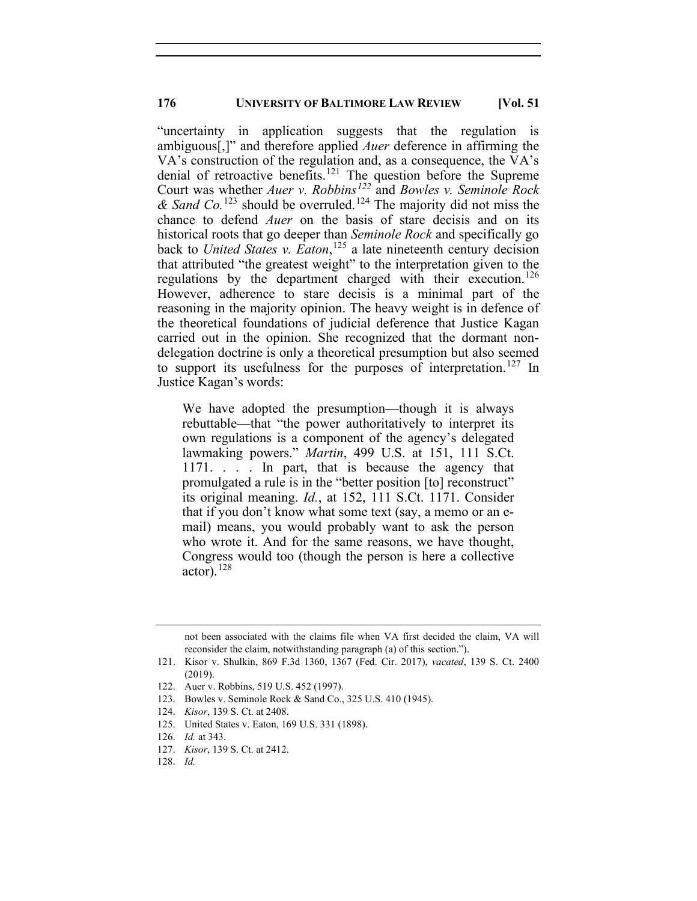"uncertainty in application suggests that the regulation is ambiguous[,]" and therefore applied *Auer* deference in affirming the VA's construction of the regulation and, as a consequence, the VA's denial of retroactive benefits.<sup>[121](#page-22-0)</sup> The question before the Supreme Court was whether *Auer v. Robbins[122](#page-22-1)* and *Bowles v. Seminole Rock*   $\&$  *Sand Co.*<sup>[123](#page-22-2)</sup> should be overruled.<sup>[124](#page-22-3)</sup> The majority did not miss the chance to defend *Auer* on the basis of stare decisis and on its historical roots that go deeper than *Seminole Rock* and specifically go back to *United States v. Eaton*, [125](#page-22-4) a late nineteenth century decision that attributed "the greatest weight" to the interpretation given to the regulations by the department charged with their execution. [126](#page-22-5) However, adherence to stare decisis is a minimal part of the reasoning in the majority opinion. The heavy weight is in defence of the theoretical foundations of judicial deference that Justice Kagan carried out in the opinion. She recognized that the dormant nondelegation doctrine is only a theoretical presumption but also seemed to support its usefulness for the purposes of interpretation.<sup>[127](#page-22-6)</sup> In Justice Kagan's words:

We have adopted the presumption—though it is always rebuttable—that "the power authoritatively to interpret its own regulations is a component of the agency's delegated lawmaking powers." *Martin*, 499 U.S. at 151, 111 S.Ct. 1171. . . . In part, that is because the agency that promulgated a rule is in the "better position [to] reconstruct" its original meaning. *Id.*, at 152, 111 S.Ct. 1171. Consider that if you don't know what some text (say, a memo or an email) means, you would probably want to ask the person who wrote it. And for the same reasons, we have thought, Congress would too (though the person is here a collective actor).  $^{128}$  $^{128}$  $^{128}$ 

<span id="page-22-4"></span>125. United States v. Eaton, 169 U.S. 331 (1898).

not been associated with the claims file when VA first decided the claim, VA will reconsider the claim, notwithstanding paragraph (a) of this section.").

<span id="page-22-0"></span><sup>121.</sup> Kisor v. Shulkin, 869 F.3d 1360, 1367 (Fed. Cir. 2017), *vacated*, 139 S. Ct. 2400 (2019).

<sup>122.</sup> Auer v. Robbins, 519 U.S. 452 (1997).

<span id="page-22-3"></span><span id="page-22-2"></span><span id="page-22-1"></span><sup>123.</sup> Bowles v. Seminole Rock & Sand Co., 325 U.S. 410 (1945).

<sup>124.</sup> *Kisor*, 139 S. Ct. at 2408.

<sup>126.</sup> *Id.* at 343.

<span id="page-22-7"></span><span id="page-22-6"></span><span id="page-22-5"></span><sup>127.</sup> *Kisor*, 139 S. Ct. at 2412.

<sup>128.</sup> *Id.*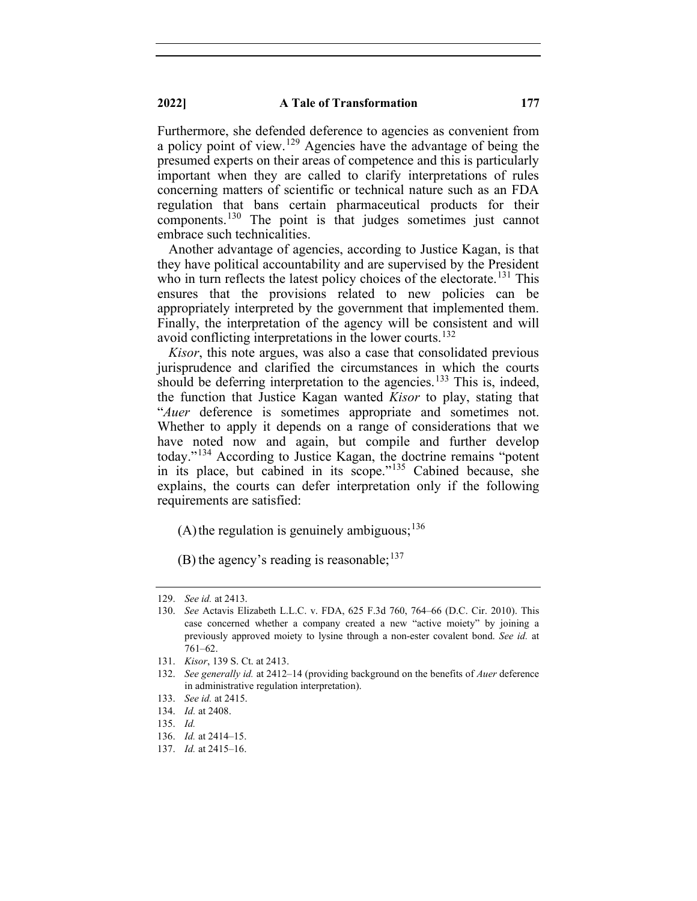Furthermore, she defended deference to agencies as convenient from a policy point of view.<sup>[129](#page-23-0)</sup> Agencies have the advantage of being the presumed experts on their areas of competence and this is particularly important when they are called to clarify interpretations of rules concerning matters of scientific or technical nature such as an FDA regulation that bans certain pharmaceutical products for their components.[130](#page-23-1) The point is that judges sometimes just cannot embrace such technicalities.

Another advantage of agencies, according to Justice Kagan, is that they have political accountability and are supervised by the President who in turn reflects the latest policy choices of the electorate.<sup>[131](#page-23-2)</sup> This ensures that the provisions related to new policies can be appropriately interpreted by the government that implemented them. Finally, the interpretation of the agency will be consistent and will avoid conflicting interpretations in the lower courts.<sup>[132](#page-23-3)</sup>

*Kisor*, this note argues, was also a case that consolidated previous jurisprudence and clarified the circumstances in which the courts should be deferring interpretation to the agencies.<sup>[133](#page-23-4)</sup> This is, indeed, the function that Justice Kagan wanted *Kisor* to play, stating that "*Auer* deference is sometimes appropriate and sometimes not. Whether to apply it depends on a range of considerations that we have noted now and again, but compile and further develop today."[134](#page-23-5) According to Justice Kagan, the doctrine remains "potent in its place, but cabined in its scope."[135](#page-23-6) Cabined because, she explains, the courts can defer interpretation only if the following requirements are satisfied:

(A) the regulation is genuinely ambiguous;  $136$ 

(B) the agency's reading is reasonable;  $137$ 

<span id="page-23-0"></span><sup>129.</sup> *See id.* at 2413.

<span id="page-23-1"></span><sup>130.</sup> *See* Actavis Elizabeth L.L.C. v. FDA, 625 F.3d 760, 764–66 (D.C. Cir. 2010). This case concerned whether a company created a new "active moiety" by joining a previously approved moiety to lysine through a non-ester covalent bond. *See id.* at 761–62.

<sup>131.</sup> *Kisor*, 139 S. Ct. at 2413.

<span id="page-23-3"></span><span id="page-23-2"></span><sup>132.</sup> *See generally id.* at 2412–14 (providing background on the benefits of *Auer* deference in administrative regulation interpretation).

<sup>133.</sup> *See id.* at 2415.

<span id="page-23-6"></span><span id="page-23-5"></span><span id="page-23-4"></span><sup>134.</sup> *Id.* at 2408.

<span id="page-23-7"></span><sup>135.</sup> *Id.*

<sup>136.</sup> *Id.* at 2414–15.

<span id="page-23-8"></span><sup>137.</sup> *Id.* at 2415–16.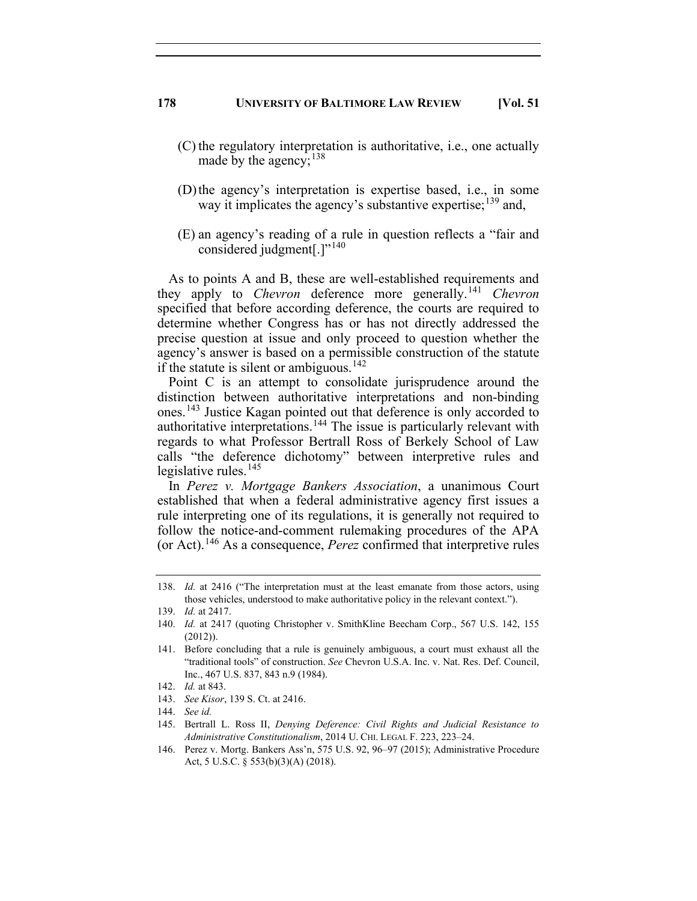- (C) the regulatory interpretation is authoritative, i.e., one actually made by the agency;<sup>[138](#page-24-0)</sup>
- (D)the agency's interpretation is expertise based, i.e., in some way it implicates the agency's substantive expertise;<sup>[139](#page-24-1)</sup> and,
- (E) an agency's reading of a rule in question reflects a "fair and considered judgment[.] $"^{140}$  $"^{140}$  $"^{140}$

As to points A and B, these are well-established requirements and they apply to *Chevron* deference more generally.<sup>[141](#page-24-3)</sup> *Chevron* specified that before according deference, the courts are required to determine whether Congress has or has not directly addressed the precise question at issue and only proceed to question whether the agency's answer is based on a permissible construction of the statute if the statute is silent or ambiguous.<sup>[142](#page-24-4)</sup>

Point C is an attempt to consolidate jurisprudence around the distinction between authoritative interpretations and non-binding ones.<sup>[143](#page-24-5)</sup> Justice Kagan pointed out that deference is only accorded to authoritative interpretations.<sup>[144](#page-24-6)</sup> The issue is particularly relevant with regards to what Professor Bertrall Ross of Berkely School of Law calls "the deference dichotomy" between interpretive rules and legislative rules. $145$ 

In *Perez v. Mortgage Bankers Association*, a unanimous Court established that when a federal administrative agency first issues a rule interpreting one of its regulations, it is generally not required to follow the notice-and-comment rulemaking procedures of the APA (or Act).[146](#page-24-8) As a consequence, *Perez* confirmed that interpretive rules

<span id="page-24-6"></span><span id="page-24-5"></span><span id="page-24-4"></span>143. *See Kisor*, 139 S. Ct. at 2416.

<span id="page-24-0"></span><sup>138.</sup> *Id.* at 2416 ("The interpretation must at the least emanate from those actors, using those vehicles, understood to make authoritative policy in the relevant context.").

<span id="page-24-1"></span><sup>139.</sup> *Id.* at 2417.

<span id="page-24-2"></span><sup>140.</sup> *Id.* at 2417 (quoting Christopher v. SmithKline Beecham Corp., 567 U.S. 142, 155 (2012)).

<span id="page-24-3"></span><sup>141.</sup> Before concluding that a rule is genuinely ambiguous, a court must exhaust all the "traditional tools" of construction. *See* Chevron U.S.A. Inc. v. Nat. Res. Def. Council, Inc., 467 U.S. 837, 843 n.9 (1984).

<sup>142.</sup> *Id.* at 843.

<sup>144.</sup> *See id.*

<span id="page-24-7"></span><sup>145.</sup> Bertrall L. Ross II, *Denying Deference: Civil Rights and Judicial Resistance to Administrative Constitutionalism*, 2014 U. CHI. LEGAL F. 223, 223–24.

<span id="page-24-8"></span><sup>146.</sup> Perez v. Mortg. Bankers Ass'n, 575 U.S. 92, 96–97 (2015); Administrative Procedure Act, 5 U.S.C. § 553(b)(3)(A) (2018).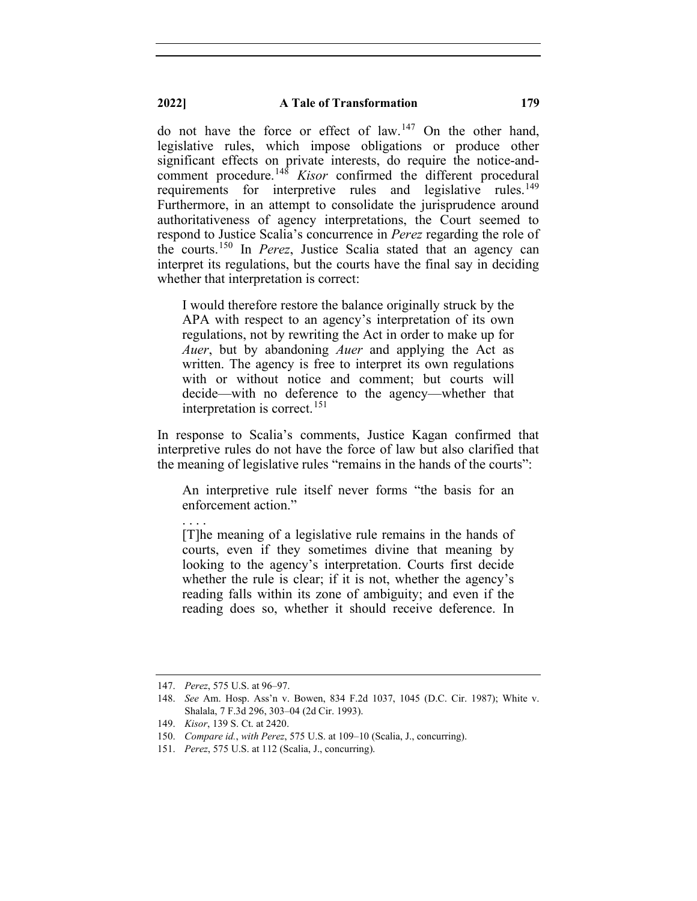### **2022] A Tale of Transformation 179**

do not have the force or effect of law.<sup>[147](#page-25-0)</sup> On the other hand, legislative rules, which impose obligations or produce other significant effects on private interests, do require the notice-andcomment procedure.[148](#page-25-1) *Kisor* confirmed the different procedural requirements for interpretive rules and legislative rules.<sup>[149](#page-25-2)</sup> Furthermore, in an attempt to consolidate the jurisprudence around authoritativeness of agency interpretations, the Court seemed to respond to Justice Scalia's concurrence in *Perez* regarding the role of the courts. [150](#page-25-3) In *Perez*, Justice Scalia stated that an agency can interpret its regulations, but the courts have the final say in deciding whether that interpretation is correct:

I would therefore restore the balance originally struck by the APA with respect to an agency's interpretation of its own regulations, not by rewriting the Act in order to make up for *Auer*, but by abandoning *Auer* and applying the Act as written. The agency is free to interpret its own regulations with or without notice and comment; but courts will decide—with no deference to the agency—whether that interpretation is correct.<sup>[151](#page-25-4)</sup>

In response to Scalia's comments, Justice Kagan confirmed that interpretive rules do not have the force of law but also clarified that the meaning of legislative rules "remains in the hands of the courts":

An interpretive rule itself never forms "the basis for an enforcement action."

[T]he meaning of a legislative rule remains in the hands of courts, even if they sometimes divine that meaning by looking to the agency's interpretation. Courts first decide whether the rule is clear; if it is not, whether the agency's reading falls within its zone of ambiguity; and even if the reading does so, whether it should receive deference. In

. . . .

<span id="page-25-1"></span><span id="page-25-0"></span><sup>147.</sup> *Perez*, 575 U.S. at 96–97.

<sup>148.</sup> *See* Am. Hosp. Ass'n v. Bowen, 834 F.2d 1037, 1045 (D.C. Cir. 1987); White v. Shalala, 7 F.3d 296, 303–04 (2d Cir. 1993).

<span id="page-25-2"></span><sup>149.</sup> *Kisor*, 139 S. Ct. at 2420.

<span id="page-25-3"></span><sup>150.</sup> *Compare id.*, *with Perez*, 575 U.S. at 109–10 (Scalia, J., concurring).

<span id="page-25-4"></span><sup>151.</sup> *Perez*, 575 U.S. at 112 (Scalia, J., concurring).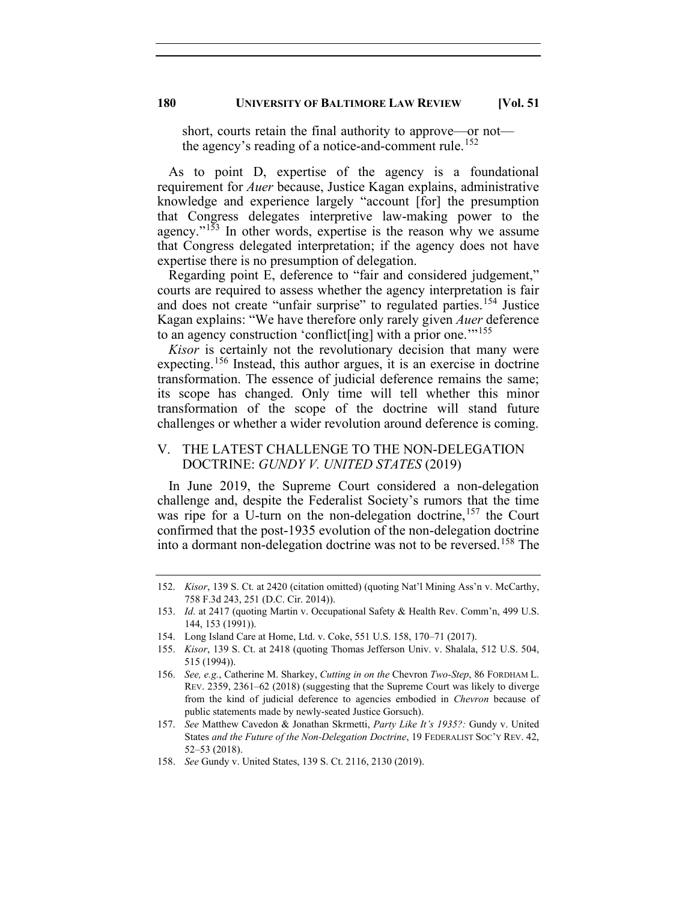short, courts retain the final authority to approve—or not— the agency's reading of a notice-and-comment rule.<sup>[152](#page-26-0)</sup>

As to point D, expertise of the agency is a foundational requirement for *Auer* because, Justice Kagan explains, administrative knowledge and experience largely "account [for] the presumption that Congress delegates interpretive law-making power to the agency."<sup>[153](#page-26-1)</sup> In other words, expertise is the reason why we assume that Congress delegated interpretation; if the agency does not have expertise there is no presumption of delegation.

Regarding point E, deference to "fair and considered judgement," courts are required to assess whether the agency interpretation is fair and does not create "unfair surprise" to regulated parties.<sup>[154](#page-26-2)</sup> Justice Kagan explains: "We have therefore only rarely given *Auer* deference to an agency construction 'conflict[ing] with a prior one."<sup>[155](#page-26-3)</sup>

*Kisor* is certainly not the revolutionary decision that many were expecting.<sup>[156](#page-26-4)</sup> Instead, this author argues, it is an exercise in doctrine transformation. The essence of judicial deference remains the same; its scope has changed. Only time will tell whether this minor transformation of the scope of the doctrine will stand future challenges or whether a wider revolution around deference is coming.

# V. THE LATEST CHALLENGE TO THE NON-DELEGATION DOCTRINE: *GUNDY V. UNITED STATES* (2019)

In June 2019, the Supreme Court considered a non-delegation challenge and, despite the Federalist Society's rumors that the time was ripe for a U-turn on the non-delegation doctrine,  $157$  the Court confirmed that the post-1935 evolution of the non-delegation doctrine into a dormant non-delegation doctrine was not to be reversed. [158](#page-26-6) The

<span id="page-26-0"></span><sup>152.</sup> *Kisor*, 139 S. Ct. at 2420 (citation omitted) (quoting Nat'l Mining Ass'n v. McCarthy, 758 F.3d 243, 251 (D.C. Cir. 2014)).

<span id="page-26-1"></span><sup>153.</sup> *Id.* at 2417 (quoting Martin v. Occupational Safety & Health Rev. Comm'n, 499 U.S. 144, 153 (1991)).

<sup>154.</sup> Long Island Care at Home, Ltd. v. Coke, 551 U.S. 158, 170–71 (2017).

<span id="page-26-3"></span><span id="page-26-2"></span><sup>155.</sup> *Kisor*, 139 S. Ct. at 2418 (quoting Thomas Jefferson Univ. v. Shalala, 512 U.S. 504, 515 (1994)).

<span id="page-26-4"></span><sup>156.</sup> *See, e.g.*, Catherine M. Sharkey, *Cutting in on the* Chevron *Two-Step*, 86 FORDHAM L. REV. 2359, 2361–62 (2018) (suggesting that the Supreme Court was likely to diverge from the kind of judicial deference to agencies embodied in *Chevron* because of public statements made by newly-seated Justice Gorsuch).

<span id="page-26-5"></span><sup>157.</sup> *See* Matthew Cavedon & Jonathan Skrmetti, *Party Like It's 1935?:* Gundy v. United States *and the Future of the Non-Delegation Doctrine*, 19 FEDERALIST SOC'Y REV. 42, 52–53 (2018).

<span id="page-26-6"></span><sup>158.</sup> *See* Gundy v. United States, 139 S. Ct. 2116, 2130 (2019).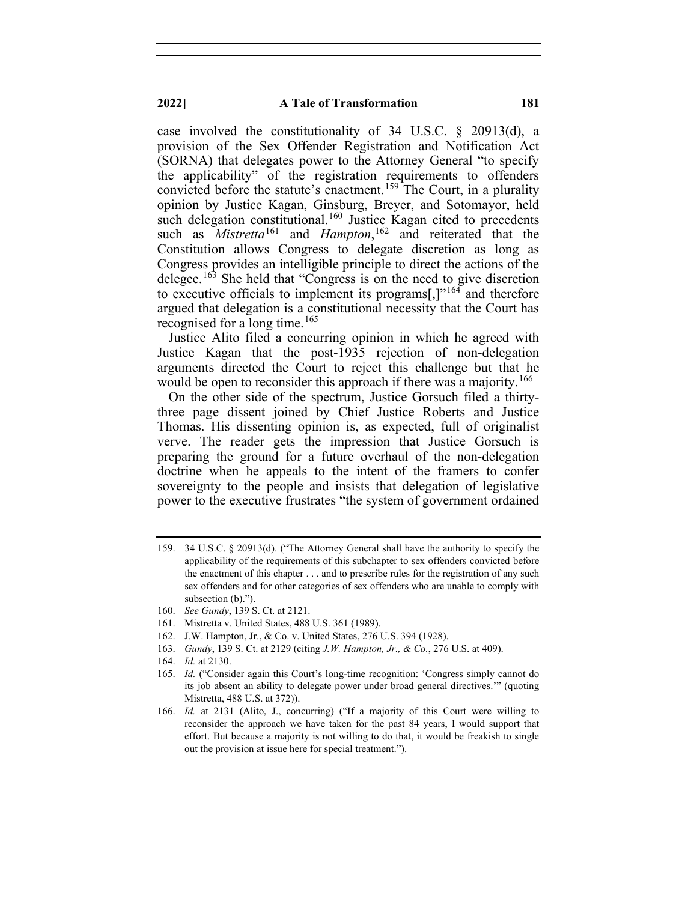case involved the constitutionality of 34 U.S.C. § 20913(d), a provision of the Sex Offender Registration and Notification Act (SORNA) that delegates power to the Attorney General "to specify the applicability" of the registration requirements to offenders convicted before the statute's enactment.<sup>[159](#page-27-0)</sup> The Court, in a plurality opinion by Justice Kagan, Ginsburg, Breyer, and Sotomayor, held such delegation constitutional.<sup>[160](#page-27-1)</sup> Justice Kagan cited to precedents such as *Mistretta*<sup>[161](#page-27-2)</sup> and *Hampton*,<sup>[162](#page-27-3)</sup> and reiterated that the Constitution allows Congress to delegate discretion as long as Congress provides an intelligible principle to direct the actions of the delegee.<sup>[163](#page-27-4)</sup> She held that "Congress is on the need to give discretion to executive officials to implement its programs[,] $v^{164}$  $v^{164}$  $v^{164}$  and therefore argued that delegation is a constitutional necessity that the Court has recognised for a long time. [165](#page-27-6)

Justice Alito filed a concurring opinion in which he agreed with Justice Kagan that the post-1935 rejection of non-delegation arguments directed the Court to reject this challenge but that he would be open to reconsider this approach if there was a majority.<sup>[166](#page-27-7)</sup>

On the other side of the spectrum, Justice Gorsuch filed a thirtythree page dissent joined by Chief Justice Roberts and Justice Thomas. His dissenting opinion is, as expected, full of originalist verve. The reader gets the impression that Justice Gorsuch is preparing the ground for a future overhaul of the non-delegation doctrine when he appeals to the intent of the framers to confer sovereignty to the people and insists that delegation of legislative power to the executive frustrates "the system of government ordained

- 161. Mistretta v. United States, 488 U.S. 361 (1989).
- 162. J.W. Hampton, Jr., & Co. v. United States, 276 U.S. 394 (1928).
- <span id="page-27-4"></span><span id="page-27-3"></span>163. *Gundy*, 139 S. Ct. at 2129 (citing *J.W. Hampton, Jr., & Co.*, 276 U.S. at 409).
- 164. *Id.* at 2130.
- <span id="page-27-6"></span><span id="page-27-5"></span>165. *Id.* ("Consider again this Court's long-time recognition: 'Congress simply cannot do its job absent an ability to delegate power under broad general directives.'" (quoting Mistretta, 488 U.S. at 372)).
- <span id="page-27-7"></span>166. *Id.* at 2131 (Alito, J., concurring) ("If a majority of this Court were willing to reconsider the approach we have taken for the past 84 years, I would support that effort. But because a majority is not willing to do that, it would be freakish to single out the provision at issue here for special treatment.").

<span id="page-27-0"></span><sup>159.</sup> 34 U.S.C. § 20913(d). ("The Attorney General shall have the authority to specify the applicability of the requirements of this subchapter to sex offenders convicted before the enactment of this chapter . . . and to prescribe rules for the registration of any such sex offenders and for other categories of sex offenders who are unable to comply with subsection (b).").

<span id="page-27-2"></span><span id="page-27-1"></span><sup>160.</sup> *See Gundy*, 139 S. Ct. at 2121.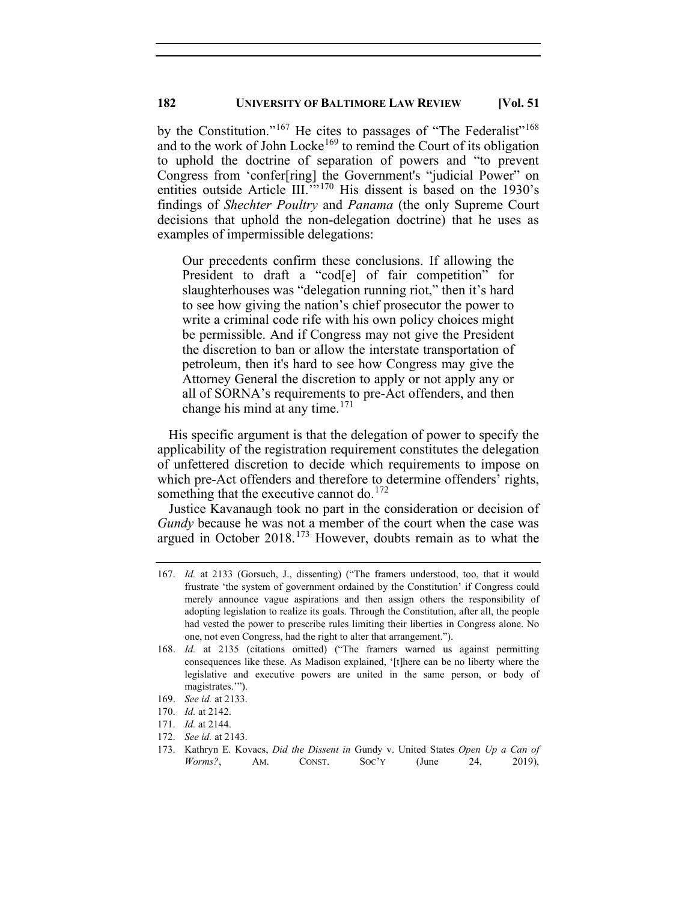by the Constitution."<sup>[167](#page-28-0)</sup> He cites to passages of "The Federalist"<sup>[168](#page-28-1)</sup> and to the work of John Locke<sup>[169](#page-28-2)</sup> to remind the Court of its obligation to uphold the doctrine of separation of powers and "to prevent Congress from 'confer[ring] the Government's "judicial Power" on entities outside Article III."<sup>[170](#page-28-3)</sup> His dissent is based on the 1930's findings of *Shechter Poultry* and *Panama* (the only Supreme Court decisions that uphold the non-delegation doctrine) that he uses as examples of impermissible delegations:

Our precedents confirm these conclusions. If allowing the President to draft a "cod<sup>[e]</sup> of fair competition" for slaughterhouses was "delegation running riot," then it's hard to see how giving the nation's chief prosecutor the power to write a criminal code rife with his own policy choices might be permissible. And if Congress may not give the President the discretion to ban or allow the interstate transportation of petroleum, then it's hard to see how Congress may give the Attorney General the discretion to apply or not apply any or all of SORNA's requirements to pre-Act offenders, and then change his mind at any time. $171$ 

His specific argument is that the delegation of power to specify the applicability of the registration requirement constitutes the delegation of unfettered discretion to decide which requirements to impose on which pre-Act offenders and therefore to determine offenders' rights, something that the executive cannot do.<sup>[172](#page-28-5)</sup>

Justice Kavanaugh took no part in the consideration or decision of *Gundy* because he was not a member of the court when the case was argued in October 2018. [173](#page-28-6) However, doubts remain as to what the

<span id="page-28-0"></span><sup>167.</sup> *Id.* at 2133 (Gorsuch, J., dissenting) ("The framers understood, too, that it would frustrate 'the system of government ordained by the Constitution' if Congress could merely announce vague aspirations and then assign others the responsibility of adopting legislation to realize its goals. Through the Constitution, after all, the people had vested the power to prescribe rules limiting their liberties in Congress alone. No one, not even Congress, had the right to alter that arrangement.").

<span id="page-28-1"></span><sup>168.</sup> *Id.* at 2135 (citations omitted) ("The framers warned us against permitting consequences like these. As Madison explained, '[t]here can be no liberty where the legislative and executive powers are united in the same person, or body of magistrates.'").

<sup>169.</sup> *See id.* at 2133.

<span id="page-28-4"></span><span id="page-28-3"></span><span id="page-28-2"></span><sup>170.</sup> *Id.* at 2142.

<sup>171.</sup> *Id.* at 2144.

<span id="page-28-5"></span><sup>172.</sup> *See id.* at 2143.

<span id="page-28-6"></span><sup>173.</sup> Kathryn E. Kovacs, *Did the Dissent in* Gundy v. United States *Open Up a Can of Worms?*, AM. CONST. SOC'Y (June 24, 2019),